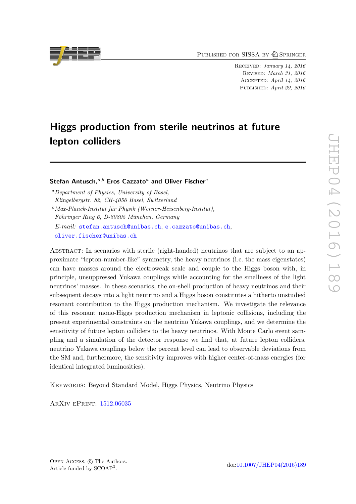PUBLISHED FOR SISSA BY 2 SPRINGER

Received: January 14, 2016 Revised: March 31, 2016 Accepted: April 14, 2016 PUBLISHED: April 29, 2016

# Higgs production from sterile neutrinos at future lepton colliders

Stefan Antusch. $a,b$  Eros Cazzato<sup>a</sup> and Oliver Fischer<sup>a</sup>

<sup>a</sup>Department of Physics, University of Basel, Klingelbergstr. 82, CH-4056 Basel, Switzerland  $b$ Max-Planck-Institut für Physik (Werner-Heisenberg-Institut), Föhringer Ring 6, D-80805 München, Germany E-mail: [stefan.antusch@unibas.ch](mailto:stefan.antusch@unibas.ch), [e.cazzato@unibas.ch](mailto:e.cazzato@unibas.ch),

[oliver.fischer@unibas.ch](mailto:oliver.fischer@unibas.ch)

ABSTRACT: In scenarios with sterile (right-handed) neutrinos that are subject to an approximate "lepton-number-like" symmetry, the heavy neutrinos (i.e. the mass eigenstates) can have masses around the electroweak scale and couple to the Higgs boson with, in principle, unsuppressed Yukawa couplings while accounting for the smallness of the light neutrinos' masses. In these scenarios, the on-shell production of heavy neutrinos and their subsequent decays into a light neutrino and a Higgs boson constitutes a hitherto unstudied resonant contribution to the Higgs production mechanism. We investigate the relevance of this resonant mono-Higgs production mechanism in leptonic collisions, including the present experimental constraints on the neutrino Yukawa couplings, and we determine the sensitivity of future lepton colliders to the heavy neutrinos. With Monte Carlo event sampling and a simulation of the detector response we find that, at future lepton colliders, neutrino Yukawa couplings below the percent level can lead to observable deviations from the SM and, furthermore, the sensitivity improves with higher center-of-mass energies (for identical integrated luminosities).

Keywords: Beyond Standard Model, Higgs Physics, Neutrino Physics

ArXiv ePrint: [1512.06035](http://arxiv.org/abs/1512.06035)

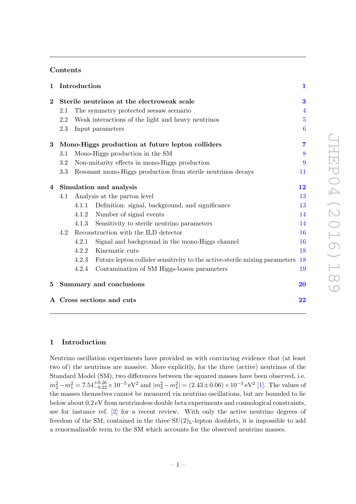# Contents

| $\mathbf 1$             |     | Introduction |                                                                            | $\mathbf{1}$   |
|-------------------------|-----|--------------|----------------------------------------------------------------------------|----------------|
| $\overline{\mathbf{2}}$ |     |              | Sterile neutrinos at the electroweak scale                                 | 3              |
|                         | 2.1 |              | The symmetry protected seesaw scenario                                     | $\overline{4}$ |
|                         | 2.2 |              | Weak interactions of the light and heavy neutrinos                         | $\overline{5}$ |
|                         | 2.3 |              | Input parameters                                                           | 6              |
| $\bf{3}$                |     |              | Mono-Higgs production at future lepton colliders                           | 7              |
|                         | 3.1 |              | Mono-Higgs production in the SM                                            | 8              |
|                         | 3.2 |              | Non-unitarity effects in mono-Higgs production                             | 9              |
|                         | 3.3 |              | Resonant mono-Higgs production from sterile neutrinos decays               | 11             |
| 4                       |     |              | Simulation and analysis                                                    | 12             |
|                         | 4.1 |              | Analysis at the parton level                                               | 13             |
|                         |     | 4.1.1        | Definition: signal, background, and significance                           | 13             |
|                         |     | 4.1.2        | Number of signal events                                                    | 14             |
|                         |     | 4.1.3        | Sensitivity to sterile neutrino parameters                                 | 14             |
|                         | 4.2 |              | Reconstruction with the ILD detector                                       | 16             |
|                         |     | 4.2.1        | Signal and background in the mono-Higgs channel                            | 16             |
|                         |     | 4.2.2        | Kinematic cuts                                                             | 18             |
|                         |     | 4.2.3        | Future lepton collider sensitivity to the active-sterile mixing parameters | <b>18</b>      |
|                         |     | 4.2.4        | Contamination of SM Higgs-boson parameters                                 | 19             |
| 5.                      |     |              | Summary and conclusions                                                    | 20             |
|                         |     |              | A Cross sections and cuts                                                  | 22             |

## <span id="page-1-0"></span>1 Introduction

Neutrino oscillation experiments have provided us with convincing evidence that (at least two of) the neutrinos are massive. More explicitly, for the three (active) neutrinos of the Standard Model (SM), two differences between the squared masses have been observed, i.e.  $m_2^2 - m_1^2 = 7.54_{-0.22}^{+0.26} \times 10^{-5} \text{ eV}^2$  and  $|m_3^2 - m_1^2| = (2.43 \pm 0.06) \times 10^{-3} \text{ eV}^2$  [\[1\]](#page-24-0). The values of the masses themselves cannot be measured via neutrino oscillations, but are bounded to lie below about 0.2 eV from neutrinoless double beta experiments and cosmological constraints, see for instance ref. [\[2\]](#page-24-1) for a recent review. With only the active neutrino degrees of freedom of the SM, contained in the three  $SU(2)_L$ -lepton doublets, it is impossible to add a renormalizable term to the SM which accounts for the observed neutrino masses.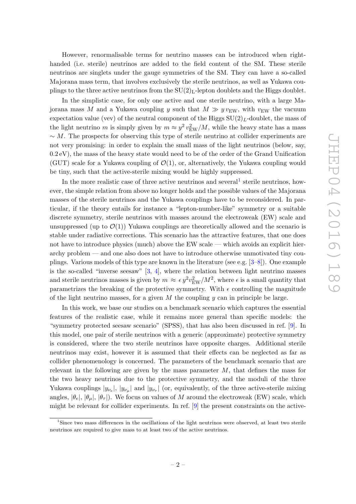However, renormalisable terms for neutrino masses can be introduced when righthanded (i.e. sterile) neutrinos are added to the field content of the SM. These sterile neutrinos are singlets under the gauge symmetries of the SM. They can have a so-called Majorana mass term, that involves exclusively the sterile neutrinos, as well as Yukawa couplings to the three active neutrinos from the  $SU(2)<sub>L</sub>$ -lepton doublets and the Higgs doublet.

In the simplistic case, for only one active and one sterile neutrino, with a large Majorana mass M and a Yukawa coupling y such that  $M \gg y v_{\text{EW}}$ , with  $v_{\text{EW}}$  the vacuum expectation value (vev) of the neutral component of the Higgs  $SU(2)_L$ -doublet, the mass of the light neutrino m is simply given by  $m \approx y^2 v_{\text{EW}}^2/M$ , while the heavy state has a mass  $\sim M$ . The prospects for observing this type of sterile neutrino at collider experiments are not very promising: in order to explain the small mass of the light neutrinos (below, say,  $(0.2 \text{ eV})$ , the mass of the heavy state would need to be of the order of the Grand Unification (GUT) scale for a Yukawa coupling of  $\mathcal{O}(1)$ , or, alternatively, the Yukawa coupling would be tiny, such that the active-sterile mixing would be highly suppressed.

In the more realistic case of three active neutrinos and several<sup>[1](#page-2-0)</sup> sterile neutrinos, however, the simple relation from above no longer holds and the possible values of the Majorana masses of the sterile neutrinos and the Yukawa couplings have to be reconsidered. In particular, if the theory entails for instance a "lepton-number-like" symmetry or a suitable discrete symmetry, sterile neutrinos with masses around the electroweak (EW) scale and unsuppressed (up to  $\mathcal{O}(1)$ ) Yukawa couplings are theoretically allowed and the scenario is stable under radiative corrections. This scenario has the attractive features, that one does not have to introduce physics (much) above the EW scale — which avoids an explicit hierarchy problem — and one also does not have to introduce otherwise unmotivated tiny couplings. Various models of this type are known in the literature (see e.g.  $[3-8]$ ). One example is the so-called "inverse seesaw"  $[3, 4]$  $[3, 4]$ , where the relation between light neutrino masses and sterile neutrinos masses is given by  $m \approx \epsilon y^2 v_{\rm EW}^2/M^2$ , where  $\epsilon$  is a small quantity that parametrizes the breaking of the protective symmetry. With  $\epsilon$  controlling the magnitude of the light neutrino masses, for a given  $M$  the coupling  $y$  can in principle be large.

In this work, we base our studies on a benchmark scenario which captures the essential features of the realistic case, while it remains more general than specific models: the "symmetry protected seesaw scenario" (SPSS), that has also been discussed in ref. [\[9\]](#page-25-1). In this model, one pair of sterile neutrinos with a generic (approximate) protective symmetry is considered, where the two sterile neutrinos have opposite charges. Additional sterile neutrinos may exist, however it is assumed that their effects can be neglected as far as collider phenomenology is concerned. The parameters of the benchmark scenario that are relevant in the following are given by the mass parameter  $M$ , that defines the mass for the two heavy neutrinos due to the protective symmetry, and the moduli of the three Yukawa couplings  $|y_{\nu_e}|$ ,  $|y_{\nu_\mu}|$  and  $|y_{\nu_\tau}|$  (or, equivalently, of the three active-sterile mixing angles,  $|\theta_e|, |\theta_u|, |\theta_\tau|$ . We focus on values of M around the electroweak (EW) scale, which might be relevant for collider experiments. In ref. [\[9\]](#page-25-1) the present constraints on the active-

<span id="page-2-0"></span><sup>1</sup>Since two mass differences in the oscillations of the light neutrinos were observed, at least two sterile neutrinos are required to give mass to at least two of the active neutrinos.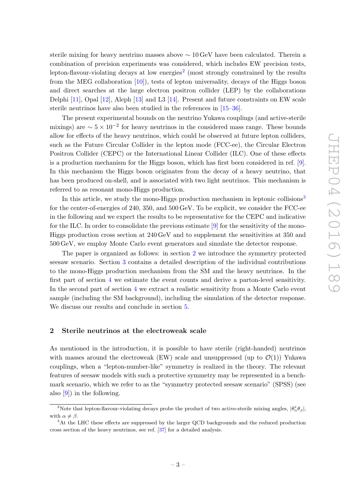sterile mixing for heavy neutrino masses above ∼ 10 GeV have been calculated. Therein a combination of precision experiments was considered, which includes EW precision tests, lepton-flavour-violating decays at low energies<sup>[2](#page-3-1)</sup> (most strongly constrained by the results from the MEG collaboration [\[10\]](#page-25-2)), tests of lepton universality, decays of the Higgs boson and direct searches at the large electron positron collider (LEP) by the collaborations Delphi [\[11\]](#page-25-3), Opal [\[12\]](#page-25-4), Aleph [\[13\]](#page-25-5) and L3 [\[14\]](#page-25-6). Present and future constraints on EW scale sterile neutrinos have also been studied in the references in [\[15](#page-25-7)[–36\]](#page-26-0).

The present experimental bounds on the neutrino Yukawa couplings (and active-sterile mixings) are  $\sim 5 \times 10^{-2}$  for heavy neutrinos in the considered mass range. These bounds allow for effects of the heavy neutrinos, which could be observed at future lepton colliders, such as the Future Circular Collider in the lepton mode (FCC-ee), the Circular Electron Positron Collider (CEPC) or the International Linear Collider (ILC). One of these effects is a production mechanism for the Higgs boson, which has first been considered in ref. [\[9\]](#page-25-1). In this mechanism the Higgs boson originates from the decay of a heavy neutrino, that has been produced on-shell, and is associated with two light neutrinos. This mechanism is referred to as resonant mono-Higgs production.

In this article, we study the mono-Higgs production mechanism in leptonic collisions<sup>[3](#page-3-2)</sup> for the center-of-energies of 240, 350, and 500 GeV. To be explicit, we consider the FCC-ee in the following and we expect the results to be representative for the CEPC and indicative for the ILC. In order to consolidate the previous estimate  $[9]$  for the sensitivity of the mono-Higgs production cross section at 240 GeV and to supplement the sensitivities at 350 and 500 GeV, we employ Monte Carlo event generators and simulate the detector response.

The paper is organized as follows: in section [2](#page-3-0) we introduce the symmetry protected seesaw scenario. Section [3](#page-7-0) contains a detailed description of the individual contributions to the mono-Higgs production mechanism from the SM and the heavy neutrinos. In the first part of section [4](#page-12-0) we estimate the event counts and derive a parton-level sensitivity. In the second part of section [4](#page-12-0) we extract a realistic sensitivity from a Monte Carlo event sample (including the SM background), including the simulation of the detector response. We discuss our results and conclude in section [5.](#page-20-0)

## <span id="page-3-0"></span>2 Sterile neutrinos at the electroweak scale

As mentioned in the introduction, it is possible to have sterile (right-handed) neutrinos with masses around the electroweak (EW) scale and unsuppressed (up to  $\mathcal{O}(1)$ ) Yukawa couplings, when a "lepton-number-like" symmetry is realized in the theory. The relevant features of seesaw models with such a protective symmetry may be represented in a benchmark scenario, which we refer to as the "symmetry protected seesaw scenario" (SPSS) (see also [\[9\]](#page-25-1)) in the following.

<span id="page-3-1"></span><sup>&</sup>lt;sup>2</sup>Note that lepton-flavour-violating decays probe the product of two active-sterile mixing angles,  $|\theta^*_{\alpha}\theta_{\beta}|$ , with  $\alpha \neq \beta$ .

<span id="page-3-2"></span><sup>&</sup>lt;sup>3</sup>At the LHC these effects are suppressed by the larger QCD backgrounds and the reduced production cross section of the heavy neutrinos, see ref. [\[37\]](#page-26-1) for a detailed analysis.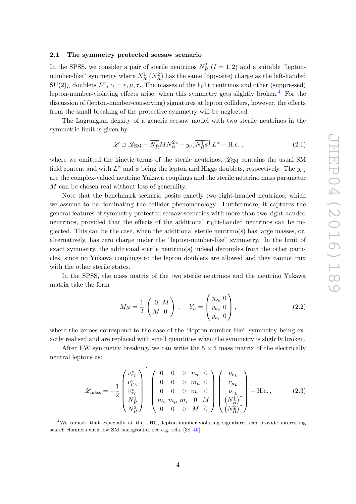## <span id="page-4-0"></span>2.1 The symmetry protected seesaw scenario

In the SPSS, we consider a pair of sterile neutrinos  $N_R^I$   $(I = 1, 2)$  and a suitable "leptonnumber-like" symmetry where  $N_R^1$   $(N_R^2)$  has the same (opposite) charge as the left-handed  $SU(2)_L$  doublets  $L^{\alpha}$ ,  $\alpha = e, \mu, \tau$ . The masses of the light neutrinos and other (suppressed) lepton-number-violating effects arise, when this symmetry gets slightly broken. $4$  For the discussion of (lepton-number-conserving) signatures at lepton colliders, however, the effects from the small breaking of the protective symmetry will be neglected.

The Lagrangian density of a generic seesaw model with two sterile neutrinos in the symmetric limit is given by

$$
\mathcal{L} \supset \mathcal{L}_{\text{SM}} - \overline{N_R^1} M N_R^{2c} - y_{\nu_\alpha} \overline{N_R^1} \widetilde{\phi}^\dagger L^\alpha + \text{H.c.} \,, \tag{2.1}
$$

where we omitted the kinetic terms of the sterile neutrinos,  $\mathscr{L}_{SM}$  contains the usual SM field content and with  $L^{\alpha}$  and  $\phi$  being the lepton and Higgs doublets, respectively. The  $y_{\nu_{\alpha}}$ are the complex-valued neutrino Yukawa couplings and the sterile neutrino mass parameter M can be chosen real without loss of generality.

Note that the benchmark scenario posits exactly two right-handed neutrinos, which we assume to be dominating the collider phenomenology. Furthermore, it captures the general features of symmetry protected seesaw scenarios with more than two right-handed neutrinos, provided that the effects of the additional right-handed neutrinos can be neglected. This can be the case, when the additional sterile neutrino(s) has large masses, or, alternatively, has zero charge under the "lepton-number-like" symmetry. In the limit of exact symmetry, the additional sterile neutrino(s) indeed decouples from the other particles, since no Yukawa couplings to the lepton doublets are allowed and they cannot mix with the other sterile states.

In the SPSS, the mass matrix of the two sterile neutrinos and the neutrino Yukawa matrix take the form

$$
M_N = \frac{1}{2} \begin{pmatrix} 0 & M \\ M & 0 \end{pmatrix} , \quad Y_{\nu} = \begin{pmatrix} y_{\nu_e} & 0 \\ y_{\nu_{\mu}} & 0 \\ y_{\nu_{\tau}} & 0 \end{pmatrix}, \tag{2.2}
$$

where the zeroes correspond to the case of the "lepton-number-like" symmetry being exactly realised and are replaced with small quantities when the symmetry is slightly broken.

After EW symmetry breaking, we can write the  $5 \times 5$  mass matrix of the electrically neutral leptons as:

<span id="page-4-2"></span>
$$
\mathcal{L}_{\text{mass}} = -\frac{1}{2} \begin{pmatrix} \frac{\overline{\nu_{e_L}^c}}{\nu_{\mu_L}^c} \\ \frac{\overline{\nu_{e_L}^c}}{\nu_{\overline{\lambda}^c}} \\ \frac{N_R^1}{N_R^2} \end{pmatrix}^T \begin{pmatrix} 0 & 0 & 0 & m_e & 0 \\ 0 & 0 & 0 & m_\mu & 0 \\ 0 & 0 & 0 & m_\tau & 0 \\ m_e & m_\mu & m_\tau & 0 & M \\ 0 & 0 & 0 & M & 0 \end{pmatrix} \begin{pmatrix} \nu_{e_L} \\ \nu_{\mu_L} \\ \nu_{\tau_L} \\ (N_R^1)^c \\ (N_R^2)^c \end{pmatrix} + \text{H.c.,}
$$
 (2.3)

<span id="page-4-1"></span><sup>4</sup>We remark that especially at the LHC, lepton-number-violating signatures can provide interesting search channels with low SM background, see e.g. refs. [\[38](#page-26-2)[–45\]](#page-27-0).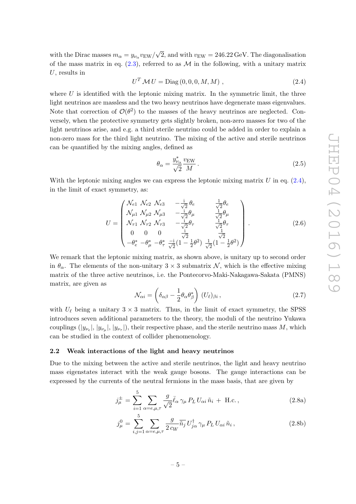with the Dirac masses  $m_{\alpha} = y_{\nu_{\alpha}} v_{\text{EW}}/\sqrt{2}$ , and with  $v_{\text{EW}} = 246.22 \,\text{GeV}$ . The diagonalisation of the mass matrix in eq.  $(2.3)$ , referred to as M in the following, with a unitary matrix  $U$ , results in

<span id="page-5-1"></span>
$$
U^T \mathcal{M} U = \text{Diag}(0, 0, 0, M, M) , \qquad (2.4)
$$

where  $U$  is identified with the leptonic mixing matrix. In the symmetric limit, the three light neutrinos are massless and the two heavy neutrinos have degenerate mass eigenvalues. Note that correction of  $\mathcal{O}(\theta^2)$  to the masses of the heavy neutrinos are neglected. Conversely, when the protective symmetry gets slightly broken, non-zero masses for two of the light neutrinos arise, and e.g. a third sterile neutrino could be added in order to explain a non-zero mass for the third light neutrino. The mixing of the active and sterile neutrinos can be quantified by the mixing angles, defined as

$$
\theta_{\alpha} = \frac{y_{\nu_{\alpha}}^*}{\sqrt{2}} \frac{v_{\rm EW}}{M} \,. \tag{2.5}
$$

With the leptonic mixing angles we can express the leptonic mixing matrix  $U$  in eq.  $(2.4)$ , in the limit of exact symmetry, as:

<span id="page-5-5"></span>
$$
U = \begin{pmatrix} \mathcal{N}_{e1} & \mathcal{N}_{e2} & \mathcal{N}_{e3} & -\frac{i}{\sqrt{2}} \theta_e & \frac{1}{\sqrt{2}} \theta_e \\ \mathcal{N}_{\mu 1} & \mathcal{N}_{\mu 2} & \mathcal{N}_{\mu 3} & -\frac{i}{\sqrt{2}} \theta_\mu & \frac{1}{\sqrt{2}} \theta_\mu \\ \mathcal{N}_{\tau 1} & \mathcal{N}_{\tau 2} & \mathcal{N}_{\tau 3} & -\frac{i}{\sqrt{2}} \theta_\tau & \frac{1}{\sqrt{2}} \theta_\tau \\ 0 & 0 & 0 & \frac{i}{\sqrt{2}} & \frac{1}{\sqrt{2}} \\ -\theta_e^* & -\theta_\mu^* & -\theta_\tau^* & \frac{-i}{\sqrt{2}} (1 - \frac{1}{2} \theta^2) & \frac{1}{\sqrt{2}} (1 - \frac{1}{2} \theta^2) \end{pmatrix} .
$$
 (2.6)

We remark that the leptonic mixing matrix, as shown above, is unitary up to second order in  $\theta_{\alpha}$ . The elements of the non-unitary  $3 \times 3$  submatrix N, which is the effective mixing matrix of the three active neutrinos, i.e. the Pontecorvo-Maki-Nakagawa-Sakata (PMNS) matrix, are given as

<span id="page-5-3"></span>
$$
\mathcal{N}_{\alpha i} = \left(\delta_{\alpha\beta} - \frac{1}{2}\theta_{\alpha}\theta_{\beta}^{*}\right) (U_{\ell})_{\beta i},\qquad(2.7)
$$

with  $U_{\ell}$  being a unitary  $3 \times 3$  matrix. Thus, in the limit of exact symmetry, the SPSS introduces seven additional parameters to the theory, the moduli of the neutrino Yukawa couplings  $(|y_{\nu_e}|, |y_{\nu_\tau}|, |y_{\nu_\tau}|)$ , their respective phase, and the sterile neutrino mass M, which can be studied in the context of collider phenomenology.

#### <span id="page-5-0"></span>2.2 Weak interactions of the light and heavy neutrinos

Due to the mixing between the active and sterile neutrinos, the light and heavy neutrino mass eigenstates interact with the weak gauge bosons. The gauge interactions can be expressed by the currents of the neutral fermions in the mass basis, that are given by

<span id="page-5-4"></span><span id="page-5-2"></span>
$$
j^{\pm}_{\mu} = \sum_{i=1}^{5} \sum_{\alpha=e,\mu,\tau} \frac{g}{\sqrt{2}} \bar{\ell}_{\alpha} \gamma_{\mu} P_L U_{\alpha i} \tilde{n}_i + \text{H.c.}, \qquad (2.8a)
$$

$$
j^0_\mu = \sum_{i,j=1}^5 \sum_{\alpha=e,\mu,\tau} \frac{g}{2 c_W} \overline{\tilde{n}_j} U_{j\alpha}^\dagger \gamma_\mu P_L U_{\alpha i} \tilde{n}_i , \qquad (2.8b)
$$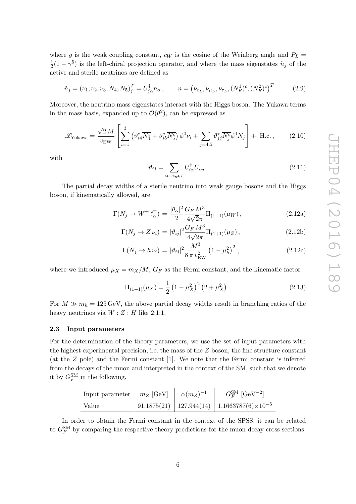where g is the weak coupling constant,  $c_W$  is the cosine of the Weinberg angle and  $P_L$  = 1  $\frac{1}{2}(1-\gamma^5)$  is the left-chiral projection operator, and where the mass eigenstates  $\tilde{n}_j$  of the active and sterile neutrinos are defined as

$$
\tilde{n}_j = (\nu_1, \nu_2, \nu_3, N_4, N_5)^T_j = U^{\dagger}_{j\alpha} n_{\alpha}, \qquad n = (\nu_{e_L}, \nu_{\mu_L}, \nu_{\tau_L}, (N_R^1)^c, (N_R^2)^c)^T. \tag{2.9}
$$

Moreover, the neutrino mass eigenstates interact with the Higgs boson. The Yukawa terms in the mass basis, expanded up to  $\mathcal{O}(\theta^2)$ , can be expressed as

$$
\mathcal{L}_{\text{Yukawa}} = \frac{\sqrt{2} M}{v_{\text{EW}}} \left[ \sum_{i=1}^{3} \left( \vartheta_{i4}^* \overline{N_4^c} + \vartheta_{i5}^* \overline{N_5^c} \right) \phi^0 \nu_i + \sum_{j=4,5} \vartheta_{jj}^* \overline{N_j^c} \phi^0 N_j \right] + \text{ H.c.} \,, \tag{2.10}
$$

with

<span id="page-6-1"></span>
$$
\vartheta_{ij} = \sum_{\alpha = e, \mu, \tau} U_{i\alpha}^{\dagger} U_{\alpha j} \,. \tag{2.11}
$$

The partial decay widths of a sterile neutrino into weak gauge bosons and the Higgs boson, if kinematically allowed, are

$$
\Gamma(N_j \to W^{\pm} \ell_{\alpha}^{\mp}) = \frac{|\theta_{\alpha}|^2 G_F M^3}{2} \Pi_{(1+1)}(\mu_W), \qquad (2.12a)
$$

$$
\Gamma(N_j \to Z \nu_i) = |\vartheta_{ij}|^2 \frac{G_F M^3}{4\sqrt{2\pi}} \Pi_{(1+1)}(\mu_Z), \qquad (2.12b)
$$

$$
\Gamma(N_j \to h \nu_i) = |\vartheta_{ij}|^2 \frac{M^3}{8 \pi v_{\rm EW}^2} \left(1 - \mu_h^2\right)^2 , \qquad (2.12c)
$$

where we introduced  $\mu_X = m_X/M$ ,  $G_F$  as the Fermi constant, and the kinematic factor

$$
\Pi_{(1+1)}(\mu_X) = \frac{1}{2} \left( 1 - \mu_X^2 \right)^2 \left( 2 + \mu_X^2 \right) . \tag{2.13}
$$

For  $M \gg m_h = 125 \,\text{GeV}$ , the above partial decay widths result in branching ratios of the heavy neutrinos via  $W: Z: H$  like 2:1:1.

#### <span id="page-6-0"></span>2.3 Input parameters

For the determination of the theory parameters, we use the set of input parameters with the highest experimental precision, i.e. the mass of the Z boson, the fine structure constant (at the Z pole) and the Fermi constant [\[1\]](#page-24-0). We note that the Fermi constant is inferred from the decays of the muon and interpreted in the context of the SM, such that we denote it by  $G_F^{\text{SM}}$  in the following.

| Input parameter $\mid m_Z$ [GeV] $\mid \alpha(m_Z)^{-1}$ |  | $G_F^{\text{SM}}$ [GeV <sup>-2</sup> ]                             |
|----------------------------------------------------------|--|--------------------------------------------------------------------|
| Value                                                    |  | 91.1875(21)   127.944(14)   1.1663787(6) $\times$ 10 <sup>-5</sup> |

In order to obtain the Fermi constant in the context of the SPSS, it can be related to  $G_F^{\text{SM}}$  by comparing the respective theory predictions for the muon decay cross sections.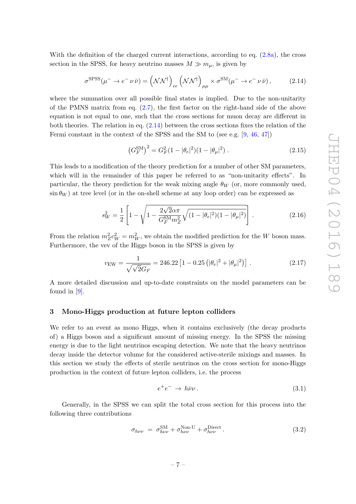With the definition of the charged current interactions, according to eq.  $(2.8a)$ , the cross section in the SPSS, for heavy neutrino masses  $M \gg m_{\mu}$ , is given by

<span id="page-7-1"></span>
$$
\sigma^{\rm SPSS}(\mu^- \to e^- \nu \bar{\nu}) = (\mathcal{N}\mathcal{N}^\dagger)_{ee} (\mathcal{N}\mathcal{N}^\dagger)_{\mu\mu} \times \sigma^{\rm SM}(\mu^- \to e^- \nu \bar{\nu}), \tag{2.14}
$$

where the summation over all possible final states is implied. Due to the non-unitarity of the PMNS matrix from eq.  $(2.7)$ , the first factor on the right-hand side of the above equation is not equal to one, such that the cross sections for muon decay are different in both theories. The relation in eq.  $(2.14)$  between the cross sections fixes the relation of the Fermi constant in the context of the SPSS and the SM to (see e.g. [\[9,](#page-25-1) [46,](#page-27-1) [47\]](#page-27-2))

<span id="page-7-2"></span>
$$
\left(G_F^{\rm SM}\right)^2 = G_F^2 (1 - |\theta_e|^2)(1 - |\theta_\mu|^2) \,. \tag{2.15}
$$

This leads to a modification of the theory prediction for a number of other SM parameters, which will in the remainder of this paper be referred to as "non-unitarity effects". In particular, the theory prediction for the weak mixing angle  $\theta_W$  (or, more commonly used,  $\sin \theta_W$ ) at tree level (or in the on-shell scheme at any loop order) can be expressed as

$$
s_W^2 = \frac{1}{2} \left[ 1 - \sqrt{1 - \frac{2\sqrt{2\alpha\pi}}{G_F^{\text{SM}} m_Z^2} \sqrt{(1 - |\theta_e|^2)(1 - |\theta_\mu|^2)}} \right].
$$
 (2.16)

From the relation  $m_Z^2 c_W^2 = m_W^2$ , we obtain the modified prediction for the W boson mass. Furthermore, the vev of the Higgs boson in the SPSS is given by

$$
v_{\rm EW} = \frac{1}{\sqrt{\sqrt{2}G_F}} = 246.22 \left[ 1 - 0.25 \left( |\theta_e|^2 + |\theta_\mu|^2 \right) \right] \,. \tag{2.17}
$$

A more detailed discussion and up-to-date constraints on the model parameters can be found in [\[9\]](#page-25-1).

### <span id="page-7-0"></span>3 Mono-Higgs production at future lepton colliders

We refer to an event as mono Higgs, when it contains exclusively (the decay products of) a Higgs boson and a significant amount of missing energy. In the SPSS the missing energy is due to the light neutrinos escaping detection. We note that the heavy neutrinos decay inside the detector volume for the considered active-sterile mixings and masses. In this section we study the effects of sterile neutrinos on the cross section for mono-Higgs production in the context of future lepton colliders, i.e. the process

$$
e^+e^- \to h\bar{\nu}\nu\,. \tag{3.1}
$$

Generally, in the SPSS we can split the total cross section for this process into the following three contributions

$$
\sigma_{h\nu\nu} = \sigma_{h\nu\nu}^{\text{SM}} + \sigma_{h\nu\nu}^{\text{Non-U}} + \sigma_{h\nu\nu}^{\text{Direct}}.
$$
\n(3.2)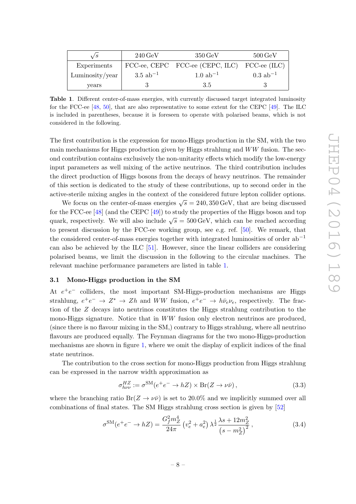| $\sqrt{s}$      | $240\,\text{GeV}$     | $350 \,\mathrm{GeV}$                         | $500\,\mathrm{GeV}$    |
|-----------------|-----------------------|----------------------------------------------|------------------------|
| Experiments     |                       | FCC-ee, CEPC FCC-ee (CEPC, ILC) FCC-ee (ILC) |                        |
| Luminosity/year | $3.5 \text{ ab}^{-1}$ | $1.0 \text{ ab}^{-1}$                        | $0.3$ ab <sup>-1</sup> |
| years           |                       | 3.5                                          |                        |

<span id="page-8-1"></span>Table 1. Different center-of-mass energies, with currently discussed target integrated luminosity for the FCC-ee [\[48,](#page-27-3) [50\]](#page-27-4), that are also representative to some extent for the CEPC [\[49\]](#page-27-5). The ILC is included in parentheses, because it is foreseen to operate with polarised beams, which is not considered in the following.

The first contribution is the expression for mono-Higgs production in the SM, with the two main mechanisms for Higgs production given by Higgs strahlung and  $WW$  fusion. The second contribution contains exclusively the non-unitarity effects which modify the low-energy input parameters as well mixing of the active neutrinos. The third contribution includes the direct production of Higgs bosons from the decays of heavy neutrinos. The remainder of this section is dedicated to the study of these contributions, up to second order in the active-sterile mixing angles in the context of the considered future lepton collider options.

We focus on the center-of-mass energies  $\sqrt{s} = 240,350 \,\text{GeV}$ , that are being discussed for the FCC-ee [\[48\]](#page-27-3) (and the CEPC [\[49\]](#page-27-5)) to study the properties of the Higgs boson and top quark, respectively. We will also include  $\sqrt{s} = 500 \,\text{GeV}$ , which can be reached according to present discussion by the FCC-ee working group, see e.g. ref. [\[50\]](#page-27-4). We remark, that the considered center-of-mass energies together with integrated luminosities of order  $ab^{-1}$ can also be achieved by the ILC [\[51\]](#page-27-6). However, since the linear colliders are considering polarised beams, we limit the discussion in the following to the circular machines. The relevant machine performance parameters are listed in table [1.](#page-8-1)

#### <span id="page-8-0"></span>3.1 Mono-Higgs production in the SM

At  $e^+e^-$  colliders, the most important SM-Higgs-production mechanisms are Higgs strahlung,  $e^+e^- \to Z^* \to Zh$  and  $WW$  fusion,  $e^+e^- \to h\bar{\nu}_e\nu_e$ , respectively. The fraction of the Z decays into neutrinos constitutes the Higgs strahlung contribution to the mono-Higgs signature. Notice that in  $WW$  fusion only electron neutrinos are produced, (since there is no flavour mixing in the SM,) contrary to Higgs strahlung, where all neutrino flavours are produced equally. The Feynman diagrams for the two mono-Higgs-production mechanisms are shown in figure [1,](#page-9-1) where we omit the display of explicit indices of the final state neutrinos.

The contribution to the cross section for mono-Higgs production from Higgs strahlung can be expressed in the narrow width approximation as

$$
\sigma_{h\nu\nu}^{HZ} := \sigma^{\text{SM}}(e^+e^- \to hZ) \times \text{Br}(Z \to \nu\bar{\nu}), \qquad (3.3)
$$

where the branching ratio  $Br(Z \to \nu\bar{\nu})$  is set to 20.0% and we implicitly summed over all combinations of final states. The SM Higgs strahlung cross section is given by [\[52\]](#page-27-7)

<span id="page-8-2"></span>
$$
\sigma^{\rm SM}(e^+e^- \to hZ) = \frac{G_f^2 m_Z^4}{24\pi} \left(v_e^2 + a_e^2\right) \lambda^{\frac{1}{2}} \frac{\lambda s + 12m_Z^2}{\left(s - m_Z^2\right)^2},\tag{3.4}
$$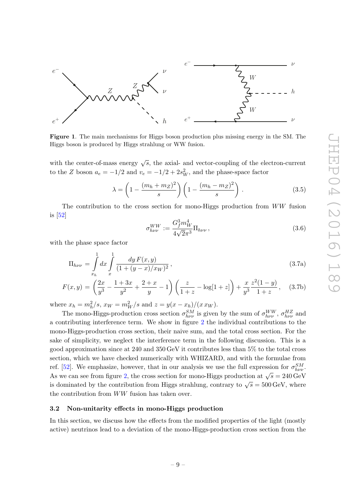

<span id="page-9-1"></span>Figure 1. The main mechanisms for Higgs boson production plus missing energy in the SM. The Higgs boson is produced by Higgs strahlung or WW fusion.

with the center-of-mass energy  $\sqrt{s}$ , the axial- and vector-coupling of the electron-current to the Z boson  $a_e = -1/2$  and  $v_e = -1/2 + 2s_W^2$ , and the phase-space factor

$$
\lambda = \left(1 - \frac{(m_h + m_Z)^2}{s}\right) \left(1 - \frac{(m_h - m_Z)^2}{s}\right). \tag{3.5}
$$

The contribution to the cross section for mono-Higgs production from  $WW$  fusion is [\[52\]](#page-27-7)

<span id="page-9-2"></span>
$$
\sigma_{h\nu\nu}^{WW} := \frac{G_f^3 m_W^4}{4\sqrt{2}\pi^3} \Pi_{h\nu\nu} , \qquad (3.6)
$$

with the phase space factor

$$
\Pi_{h\nu\nu} = \int_{x_h}^1 dx \int_{x}^1 \frac{dy F(x, y)}{(1 + (y - x)/x_W)^2},
$$
\n(3.7a)

$$
F(x,y) = \left(\frac{2x}{y^3} - \frac{1+3x}{y^2} + \frac{2+x}{y} - 1\right) \left(\frac{z}{1+z} - \log[1+z]\right) + \frac{x}{y^3} \frac{z^2(1-y)}{1+z}, \quad (3.7b)
$$

where  $x_h = m_h^2/s$ ,  $x_W = m_W^2/s$  and  $z = y(x - x_h)/(x \, x_W)$ .

The mono-Higgs-production cross section  $\sigma_{h\nu\nu}^{SM}$  is given by the sum of  $\sigma_{h\nu\nu}^{WW}$ ,  $\sigma_{h\nu\nu}^{HZ}$  and a contributing interference term. We show in figure [2](#page-10-0) the individual contributions to the mono-Higgs-production cross section, their naive sum, and the total cross section. For the sake of simplicity, we neglect the interference term in the following discussion. This is a good approximation since at 240 and 350 GeV it contributes less than 5% to the total cross section, which we have checked numerically with WHIZARD, and with the formulae from ref. [\[52\]](#page-27-7). We emphasize, however, that in our analysis we use the full expression for  $\sigma_{h\nu\nu}^{SM}$ . As we can see from figure [2,](#page-10-0) the cross section for mono-Higgs production at  $\sqrt{s} = 240 \,\text{GeV}$ is dominated by the contribution from Higgs strahlung, contrary to  $\sqrt{s} = 500 \,\text{GeV}$ , where the contribution from WW fusion has taken over.

## <span id="page-9-0"></span>3.2 Non-unitarity effects in mono-Higgs production

In this section, we discuss how the effects from the modified properties of the light (mostly active) neutrinos lead to a deviation of the mono-Higgs-production cross section from the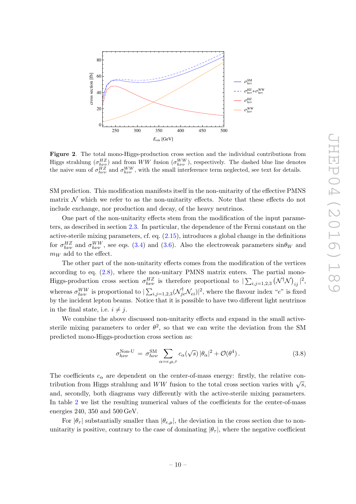

<span id="page-10-0"></span>Figure 2. The total mono-Higgs-production cross section and the individual contributions from Higgs strahlung  $(\sigma_{h\nu\nu}^{HZ})$  and from WW fusion  $(\sigma_{h\nu\nu}^{WW})$ , respectively. The dashed blue line denotes the naive sum of  $\sigma_{h\nu\nu}^{HZ}$  and  $\sigma_{h\nu\nu}^{WW}$ , with the small interference term neglected, see text for details.

SM prediction. This modification manifests itself in the non-unitarity of the effective PMNS matrix  $\mathcal N$  which we refer to as the non-unitarity effects. Note that these effects do not include exchange, nor production and decay, of the heavy neutrinos.

One part of the non-unitarity effects stem from the modification of the input parameters, as described in section [2.3.](#page-6-0) In particular, the dependence of the Fermi constant on the active-sterile mixing parameters, cf. eq. [\(2.15\)](#page-7-2), introduces a global change in the definitions for  $\sigma_{h\nu\nu}^{HZ}$  and  $\sigma_{h\nu\nu}^{WW}$ , see eqs. [\(3.4\)](#page-8-2) and [\(3.6\)](#page-9-2). Also the electroweak parameters  $\sin\theta_W$  and  $m_W$  add to the effect.

The other part of the non-unitarity effects comes from the modification of the vertices according to eq. [\(2.8\)](#page-5-4), where the non-unitary PMNS matrix enters. The partial mono-Higgs-production cross section  $\sigma_{h\nu\nu}^{HZ}$  is therefore proportional to  $|\sum_{i,j=1,2,3} (\mathcal{N}^{\dagger} \mathcal{N})_{ij}|^2$ , whereas  $\sigma_{h\nu\nu}^{WW}$  is proportional to  $|\sum_{i,j=1,2,3}(\mathcal{N}_{je}^{\dagger}\mathcal{N}_{ei})|^2$ , where the flavour index "e" is fixed by the incident lepton beams. Notice that it is possible to have two different light neutrinos in the final state, i.e.  $i \neq j$ .

We combine the above discussed non-unitarity effects and expand in the small activesterile mixing parameters to order  $\theta^2$ , so that we can write the deviation from the SM predicted mono-Higgs-production cross section as:

<span id="page-10-1"></span>
$$
\sigma_{h\nu\nu}^{\text{Non-U}} = \sigma_{h\nu\nu}^{\text{SM}} \sum_{\alpha = e,\mu,\tau} c_{\alpha}(\sqrt{s}) |\theta_{\alpha}|^2 + \mathcal{O}(\theta^4). \tag{3.8}
$$

The coefficients  $c_{\alpha}$  are dependent on the center-of-mass energy: firstly, the relative contribution from Higgs strahlung and WW fusion to the total cross section varies with  $\sqrt{s}$ , and, secondly, both diagrams vary differently with the active-sterile mixing parameters. In table [2](#page-11-1) we list the resulting numerical values of the coefficients for the center-of-mass energies 240, 350 and 500 GeV.

For  $|\theta_\tau|$  substantially smaller than  $|\theta_{e,\mu}|$ , the deviation in the cross section due to nonunitarity is positive, contrary to the case of dominating  $|\theta_{\tau}|$ , where the negative coefficient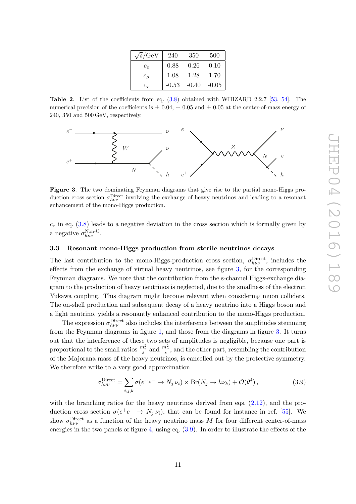| $\sqrt{s}/\text{GeV}$ | 240  | 350                 | 500  |
|-----------------------|------|---------------------|------|
| $c_{e}$               | 0.88 | 0.26                | 0.10 |
| $c_{\mu}$             | 1.08 | 1.28                | 1.70 |
| $c_{\tau}$            |      | $-0.53 -0.40 -0.05$ |      |

<span id="page-11-1"></span>Table 2. List of the coefficients from eq. [\(3.8\)](#page-10-1) obtained with WHIZARD 2.2.7 [\[53,](#page-27-8) [54\]](#page-27-9). The numerical precision of the coefficients is  $\pm 0.04$ ,  $\pm 0.05$  and  $\pm 0.05$  at the center-of-mass energy of 240, 350 and 500 GeV, respectively.



<span id="page-11-2"></span>Figure 3. The two dominating Feynman diagrams that give rise to the partial mono-Higgs production cross section  $\sigma_{h\nu\nu}^{\text{Direct}}$  involving the exchange of heavy neutrinos and leading to a resonant enhancement of the mono-Higgs production.

 $c<sub>\tau</sub>$  in eq. [\(3.8\)](#page-10-1) leads to a negative deviation in the cross section which is formally given by a negative  $\sigma_{h\nu\nu}^{\text{Non-U}}$ .

#### <span id="page-11-0"></span>3.3 Resonant mono-Higgs production from sterile neutrinos decays

The last contribution to the mono-Higgs-production cross section,  $\sigma_{h\nu\nu}^{\text{Direct}}$ , includes the effects from the exchange of virtual heavy neutrinos, see figure [3,](#page-11-2) for the corresponding Feynman diagrams. We note that the contribution from the s-channel Higgs-exchange diagram to the production of heavy neutrinos is neglected, due to the smallness of the electron Yukawa coupling. This diagram might become relevant when considering muon colliders. The on-shell production and subsequent decay of a heavy neutrino into a Higgs boson and a light neutrino, yields a resonantly enhanced contribution to the mono-Higgs production.

The expression  $\sigma_{h\nu\nu}^{\text{Direct}}$  also includes the interference between the amplitudes stemming from the Feynman diagrams in figure [1,](#page-9-1) and those from the diagrams in figure [3.](#page-11-2) It turns out that the interference of these two sets of amplitudes is negligible, because one part is proportional to the small ratios  $\frac{m_e^2}{s}$  and  $\frac{m_\nu^2}{s}$ , and the other part, resembling the contribution of the Majorana mass of the heavy neutrinos, is cancelled out by the protective symmetry. We therefore write to a very good approximation

<span id="page-11-3"></span>
$$
\sigma_{h\nu\nu}^{\text{Direct}} = \sum_{i,j,k} \sigma(e^+e^- \to N_j \nu_i) \times \text{Br}(N_j \to h\nu_k) + \mathcal{O}(\theta^4) \,, \tag{3.9}
$$

with the branching ratios for the heavy neutrinos derived from eqs.  $(2.12)$ , and the production cross section  $\sigma(e^+e^- \to N_j \nu_i)$ , that can be found for instance in ref. [\[55\]](#page-27-10). We show  $\sigma_{h\nu\nu}^{\text{Direct}}$  as a function of the heavy neutrino mass M for four different center-of-mass energies in the two panels of figure [4,](#page-12-1) using eq. [\(3.9\)](#page-11-3). In order to illustrate the effects of the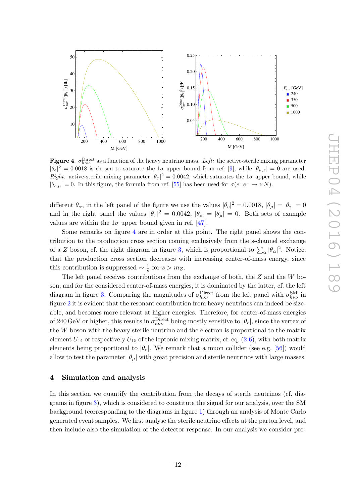

<span id="page-12-1"></span>**Figure 4.**  $\sigma_{h\nu\nu}^{\text{Direct}}$  as a function of the heavy neutrino mass. Left: the active-sterile mixing parameter  $|\theta_e|^2 = 0.0018$  is chosen to saturate the  $1\sigma$  upper bound from ref. [\[9\]](#page-25-1), while  $|\theta_{\mu,\tau}| = 0$  are used. Right: active-sterile mixing parameter  $|\theta_{\tau}|^2 = 0.0042$ , which saturates the  $1\sigma$  upper bound, while  $|\theta_{e,\mu}| = 0$ . In this figure, the formula from ref. [\[55\]](#page-27-10) has been used for  $\sigma(e^+e^- \to \nu N)$ .

different  $\theta_{\alpha}$ , in the left panel of the figure we use the values  $|\theta_e|^2 = 0.0018$ ,  $|\theta_{\mu}| = |\theta_{\tau}| = 0$ and in the right panel the values  $|\theta_{\tau}|^2 = 0.0042$ ,  $|\theta_e| = |\theta_{\mu}| = 0$ . Both sets of example values are within the  $1\sigma$  upper bound given in ref. [\[47\]](#page-27-2).

Some remarks on figure [4](#page-12-1) are in order at this point. The right panel shows the contribution to the production cross section coming exclusively from the s-channel exchange of a Z boson, cf. the right diagram in figure [3,](#page-11-2) which is proportional to  $\sum_{\alpha} |\theta_{\alpha}|^2$ . Notice, that the production cross section decreases with increasing center-of-mass energy, since this contribution is suppressed  $\sim \frac{1}{s}$  $\frac{1}{s}$  for  $s > m_Z$ .

The left panel receives contributions from the exchange of both, the  $Z$  and the  $W$  boson, and for the considered center-of-mass energies, it is dominated by the latter, cf. the left diagram in figure [3.](#page-11-2) Comparing the magnitudes of  $\sigma_{h\nu\nu}^{\text{Direct}}$  from the left panel with  $\sigma_{h\nu\nu}^{\text{SM}}$  in figure [2](#page-10-0) it is evident that the resonant contribution from heavy neutrinos can indeed be sizeable, and becomes more relevant at higher energies. Therefore, for center-of-mass energies of 240 GeV or higher, this results in  $\sigma_{h\nu\nu}^{\text{Direct}}$  being mostly sensitive to  $|\theta_e|$ , since the vertex of the  $W$  boson with the heavy sterile neutrino and the electron is proportional to the matrix element  $U_{14}$  or respectively  $U_{15}$  of the leptonic mixing matrix, cf. eq. [\(2.6\)](#page-5-5), with both matrix elements being proportional to  $|\theta_e|$ . We remark that a muon collider (see e.g. [\[56\]](#page-27-11)) would allow to test the parameter  $|\theta_\mu|$  with great precision and sterile neutrinos with large masses.

## <span id="page-12-0"></span>4 Simulation and analysis

In this section we quantify the contribution from the decays of sterile neutrinos (cf. diagrams in figure [3\)](#page-11-2), which is considered to constitute the signal for our analysis, over the SM background (corresponding to the diagrams in figure [1\)](#page-9-1) through an analysis of Monte Carlo generated event samples. We first analyse the sterile neutrino effects at the parton level, and then include also the simulation of the detector response. In our analysis we consider pro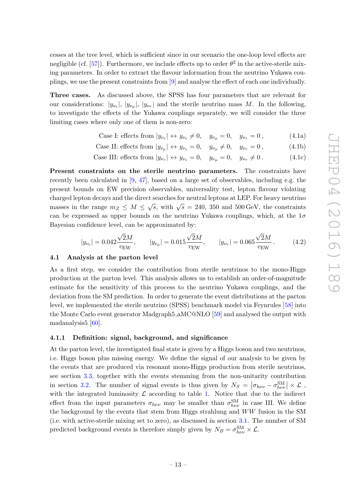cesses at the tree level, which is sufficient since in our scenario the one-loop level effects are negligible (cf. [\[57\]](#page-27-12)). Furthermore, we include effects up to order  $\theta^2$  in the active-sterile mixing parameters. In order to extract the flavour information from the neutrino Yukawa couplings, we use the present constraints from [\[9\]](#page-25-1) and analyse the effect of each one individually.

Three cases. As discussed above, the SPSS has four parameters that are relevant for our considerations:  $|y_{\nu_e}|, |y_{\nu_\mu}|, |y_{\nu_\tau}|$  and the sterile neutrino mass M. In the following, to investigate the effects of the Yukawa couplings separately, we will consider the three limiting cases where only one of them is non-zero:

<span id="page-13-2"></span>Case I: effects from 
$$
|y_{\nu_e}| \leftrightarrow y_{\nu_e} \neq 0
$$
,  $y_{\nu_\mu} = 0$ ,  $y_{\nu_\tau} = 0$ , (4.1a)

Case II: effects from 
$$
|y_{\nu_{\mu}}| \leftrightarrow y_{\nu_e} = 0
$$
,  $y_{\nu_{\mu}} \neq 0$ ,  $y_{\nu_{\tau}} = 0$ , 
$$
(4.1b)
$$

Case III: effects from 
$$
|y_{\nu_{\tau}}| \leftrightarrow y_{\nu_e} = 0
$$
,  $y_{\nu_{\mu}} = 0$ ,  $y_{\nu_{\tau}} \neq 0$ . (4.1c)

Present constraints on the sterile neutrino parameters. The constraints have recently been calculated in [\[9,](#page-25-1) [47\]](#page-27-2), based on a large set of observables, including e.g. the present bounds on EW precision observables, universality test, lepton flavour violating charged lepton decays and the direct searches for neutral leptons at LEP. For heavy neutrino masses in the range  $m_Z \leq M \leq \sqrt{s}$ , with  $\sqrt{s} = 240, 350$  and 500 GeV, the constraints can be expressed as upper bounds on the neutrino Yukawa couplings, which, at the  $1\sigma$ Bayesian confidence level, can be approximated by:

<span id="page-13-3"></span>
$$
|y_{\nu_e}| = 0.042 \frac{\sqrt{2}M}{v_{\rm EW}}, \qquad |y_{\nu_\mu}| = 0.015 \frac{\sqrt{2}M}{v_{\rm EW}}, \qquad |y_{\nu_\tau}| = 0.065 \frac{\sqrt{2}M}{v_{\rm EW}}. \tag{4.2}
$$

#### <span id="page-13-0"></span>4.1 Analysis at the parton level

As a first step, we consider the contribution from sterile neutrinos to the mono-Higgs production at the parton level. This analysis allows us to establish an order-of-magnitude estimate for the sensitivity of this process to the neutrino Yukawa couplings, and the deviation from the SM prediction. In order to generate the event distributions at the parton level, we implemented the sterile neutrino (SPSS) benchmark model via Feynrules [\[58\]](#page-27-13) into the Monte Carlo event generator Madgraph5 aMC@NLO [\[59\]](#page-27-14) and analysed the output with madanalysis5 [\[60\]](#page-27-15).

## <span id="page-13-1"></span>4.1.1 Definition: signal, background, and significance

At the parton level, the investigated final state is given by a Higgs boson and two neutrinos, i.e. Higgs boson plus missing energy. We define the signal of our analysis to be given by the events that are produced via resonant mono-Higgs production from sterile neutrinos, see section [3.3,](#page-11-0) together with the events stemming from the non-unitarity contribution in section [3.2.](#page-9-0) The number of signal events is thus given by  $N_S = |\sigma_{h\nu\nu} - \sigma_{h\nu\nu}^{\text{SM}}| \times \mathcal{L}$ , with the integrated luminosity  $\mathcal L$  according to table [1.](#page-8-1) Notice that due to the indirect effect from the input parameters  $\sigma_{h\nu\nu}$  may be smaller than  $\sigma_{h\nu\nu}^{SM}$  in case III. We define the background by the events that stem from Higgs strahlung and WW fusion in the SM (i.e. with active-sterile mixing set to zero), as discussed in section [3.1.](#page-8-0) The number of SM predicted background events is therefore simply given by  $N_B = \sigma_{h\nu\nu}^{\text{SM}} \times \mathcal{L}$ .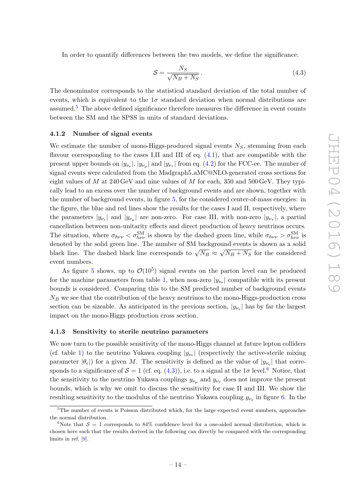In order to quantify differences between the two models, we define the significance:

<span id="page-14-3"></span>
$$
S = \frac{N_S}{\sqrt{N_B + N_S}}.\tag{4.3}
$$

The denominator corresponds to the statistical standard deviation of the total number of events, which is equivalent to the  $1\sigma$  standard deviation when normal distributions are assumed.<sup>[5](#page-14-2)</sup> The above defined significance therefore measures the difference in event counts between the SM and the SPSS in units of standard deviations.

#### <span id="page-14-0"></span>4.1.2 Number of signal events

We estimate the number of mono-Higgs-produced signal events  $N<sub>S</sub>$ , stemming from each flavour corresponding to the cases I,II and III of eq. [\(4.1\)](#page-13-2), that are compatible with the present upper bounds on  $|y_{\nu_e}|$ ,  $|y_{\nu_\mu}|$  and  $|y_{\nu_\tau}|$  from eq. [\(4.2\)](#page-13-3) for the FCC-ee. The number of signal events were calculated from the Madgraph5 aMC@NLO-generated cross sections for eight values of M at 240 GeV and nine values of M for each, 350 and 500 GeV. They typically lead to an excess over the number of background events and are shown, together with the number of background events, in figure [5,](#page-15-0) for the considered center-of-mass energies: in the figure, the blue and red lines show the results for the cases I and II, respectively, where the parameters  $|y_{\nu_e}|$  and  $|y_{\nu_\mu}|$  are non-zero. For case III, with non-zero  $|y_{\nu_\tau}|$ , a partial cancellation between non-unitarity effects and direct production of heavy neutrinos occurs. The situation, where  $\sigma_{h\nu\nu} < \sigma_{h\nu\nu}^{SM}$  is shown by the dashed green line, while  $\sigma_{h\nu\nu} > \sigma_{h\nu\nu}^{SM}$  is denoted by the solid green line. The number of SM background events is shown as a solid black line. The dashed black line corresponds to  $\sqrt{N_B} \approx \sqrt{N_B + N_S}$  for the considered event numbers.

As figure [5](#page-15-0) shows, up to  $\mathcal{O}(10^5)$  signal events on the parton level can be produced for the machine parameters from table [1,](#page-8-1) when non-zero  $|y_{\nu_e}|$  compatible with its present bounds is considered. Comparing this to the SM predicted number of background events  $N_B$  we see that the contribution of the heavy neutrinos to the mono-Higgs-production cross section can be sizeable. As anticipated in the previous section,  $|y_{\nu_e}|$  has by far the largest impact on the mono-Higgs production cross section.

#### <span id="page-14-1"></span>4.1.3 Sensitivity to sterile neutrino parameters

We now turn to the possible sensitivity of the mono-Higgs channel at future lepton colliders (cf. table [1\)](#page-8-1) to the neutrino Yukawa coupling  $|y_{\nu_e}|$  (respectively the active-sterile mixing parameter  $|\theta_e|$ ) for a given M. The sensitivity is defined as the value of  $|y_{\nu_e}|$  that corresponds to a significance of  $S = 1$  (cf. eq.  $(4.3)$ ), i.e. to a signal at the  $1\sigma$  level.<sup>[6](#page-14-4)</sup> Notice, that the sensitivity to the neutrino Yukawa couplings  $y_{\nu_\mu}$  and  $y_{\nu_\tau}$  does not improve the present bounds, which is why we omit to discuss the sensitivity for case II and III. We show the resulting sensitivity to the modulus of the neutrino Yukawa coupling  $y_{\nu_e}$  in figure [6.](#page-16-2) In the

<span id="page-14-2"></span><sup>&</sup>lt;sup>5</sup>The number of events is Poisson distributed which, for the large expected event numbers, approaches the normal distribution.

<span id="page-14-4"></span><sup>&</sup>lt;sup>6</sup>Note that  $S = 1$  corresponds to 84% confidence level for a one-sided normal distribution, which is chosen here such that the results derived in the following can directly be compared with the corresponding limits in ref. [\[9\]](#page-25-1).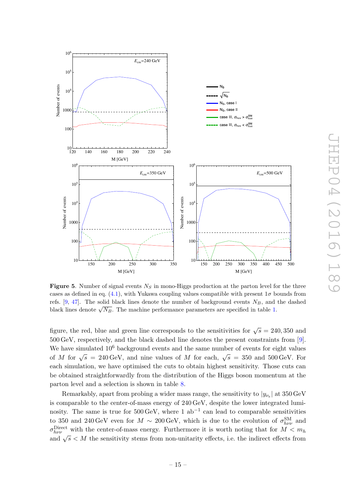

<span id="page-15-0"></span>**Figure 5.** Number of signal events  $N<sub>S</sub>$  in mono-Higgs production at the parton level for the three cases as defined in eq. [\(4.1\)](#page-13-2), with Yukawa coupling values compatible with present  $1\sigma$  bounds from refs. [\[9,](#page-25-1) [47\]](#page-27-2). The solid black lines denote the number of background events  $N_B$ , and the dashed black lines denote  $\sqrt{N_B}$ . The machine performance parameters are specified in table [1.](#page-8-1)

figure, the red, blue and green line corresponds to the sensitivities for  $\sqrt{s} = 240,350$  and 500 GeV, respectively, and the black dashed line denotes the present constraints from [\[9\]](#page-25-1). We have simulated  $10^6$  background events and the same number of events for eight values of M for  $\sqrt{s} = 240 \,\text{GeV}$ , and nine values of M for each,  $\sqrt{s} = 350$  and  $500 \,\text{GeV}$ . For each simulation, we have optimised the cuts to obtain highest sensitivity. Those cuts can be obtained straightforwardly from the distribution of the Higgs boson momentum at the parton level and a selection is shown in table [8.](#page-24-4)

Remarkably, apart from probing a wider mass range, the sensitivity to  $|y_{\nu_e}|$  at  $350\,\text{GeV}$ is comparable to the center-of-mass energy of 240 GeV, despite the lower integrated luminosity. The same is true for  $500 \,\text{GeV}$ , where 1 ab<sup>-1</sup> can lead to comparable sensitivities to 350 and 240 GeV even for  $M \sim 200 \,\text{GeV}$ , which is due to the evolution of  $\sigma_{h\nu\nu}^{\text{SM}}$  and  $\sigma_{h\nu\nu}^{\text{Direct}}$  with the center-of-mass energy. Furthermore it is worth noting that for  $M < m_h$ and  $\sqrt{s}$  < M the sensitivity stems from non-unitarity effects, i.e. the indirect effects from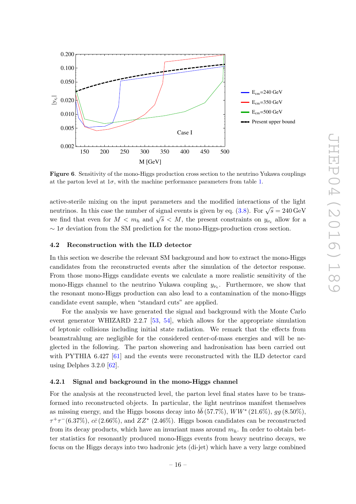

<span id="page-16-2"></span>Figure 6. Sensitivity of the mono-Higgs production cross section to the neutrino Yukawa couplings at the parton level at  $1\sigma$ , with the machine performance parameters from table [1.](#page-8-1)

active-sterile mixing on the input parameters and the modified interactions of the light neutrinos. In this case the number of signal events is given by eq. [\(3.8\)](#page-10-1). For  $\sqrt{s} = 240 \,\text{GeV}$ we find that even for  $M < m_h$  and  $\sqrt{s} < M$ , the present constraints on  $y_{\nu_e}$  allow for a  $\sim 1\sigma$  deviation from the SM prediction for the mono-Higgs-production cross section.

## <span id="page-16-0"></span>4.2 Reconstruction with the ILD detector

In this section we describe the relevant SM background and how to extract the mono-Higgs candidates from the reconstructed events after the simulation of the detector response. From those mono-Higgs candidate events we calculate a more realistic sensitivity of the mono-Higgs channel to the neutrino Yukawa coupling  $y_{\nu_e}$ . Furthermore, we show that the resonant mono-Higgs production can also lead to a contamination of the mono-Higgs candidate event sample, when "standard cuts" are applied.

For the analysis we have generated the signal and background with the Monte Carlo event generator WHIZARD 2.2.7 [\[53,](#page-27-8) [54\]](#page-27-9), which allows for the appropriate simulation of leptonic collisions including initial state radiation. We remark that the effects from beamstrahlung are negligible for the considered center-of-mass energies and will be neglected in the following. The parton showering and hadronisation has been carried out with PYTHIA 6.427 [\[61\]](#page-27-16) and the events were reconstructed with the ILD detector card using Delphes  $3.2.0$  [\[62\]](#page-27-17).

#### <span id="page-16-1"></span>4.2.1 Signal and background in the mono-Higgs channel

For the analysis at the reconstructed level, the parton level final states have to be transformed into reconstructed objects. In particular, the light neutrinos manifest themselves as missing energy, and the Higgs bosons decay into  $b\bar{b}$  (57.7%),  $WW^*(21.6\%), gg (8.50\%),$  $\tau^+\tau^-$ (6.37%),  $c\bar{c}$  (2.66%), and  $ZZ^*$  (2.46%). Higgs boson candidates can be reconstructed from its decay products, which have an invariant mass around  $m_h$ . In order to obtain better statistics for resonantly produced mono-Higgs events from heavy neutrino decays, we focus on the Higgs decays into two hadronic jets (di-jet) which have a very large combined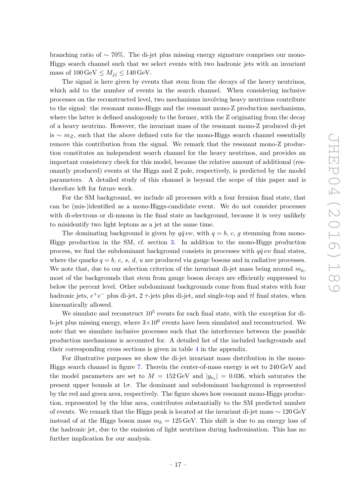branching ratio of ∼ 70%. The di-jet plus missing energy signature comprises our mono-Higgs search channel such that we select events with two hadronic jets with an invariant mass of  $100 \,\text{GeV} \leq M_{ij} \leq 140 \,\text{GeV}$ .

The signal is here given by events that stem from the decays of the heavy neutrinos, which add to the number of events in the search channel. When considering inclusive processes on the reconstructed level, two mechanisms involving heavy neutrinos contribute to the signal: the resonant mono-Higgs and the resonant mono-Z production mechanisms, where the latter is defined analogously to the former, with the Z originating from the decay of a heavy neutrino. However, the invariant mass of the resonant mono-Z produced di-jet is ∼  $m_Z$ , such that the above defined cuts for the mono-Higgs search channel essentially remove this contribution from the signal. We remark that the resonant mono-Z production constitutes an independent search channel for the heavy neutrinos, and provides an important consistency check for this model, because the relative amount of additional (resonantly produced) events at the Higgs and Z pole, respectively, is predicted by the model parameters. A detailed study of this channel is beyond the scope of this paper and is therefore left for future work.

For the SM background, we include all processes with a four fermion final state, that can be (mis-)identified as a mono-Higgs-candidate event. We do not consider processes with di-electrons or di-muons in the final state as background, because it is very unlikely to misidentify two light leptons as a jet at the same time.

The dominating background is given by  $q\bar{q}\nu\nu$ , with  $q = b, c, g$  stemming from mono-Higgs production in the SM, cf. section [3.](#page-7-0) In addition to the mono-Higgs production process, we find the subdominant background consists in processes with  $q\bar{q} \nu\nu$  final states, where the quarks  $q = b, c, s, d, u$  are produced via gauge bosons and in radiative processes. We note that, due to our selection criterion of the invariant di-jet mass being around  $m_h$ , most of the backgrounds that stem from gauge boson decays are efficiently suppressed to below the percent level. Other subdominant backgrounds come from final states with four hadronic jets,  $e^+e^-$  plus di-jet, 2  $\tau$ -jets plus di-jet, and single-top and  $t\bar{t}$  final states, when kinematically allowed.

We simulate and reconstruct  $10^5$  events for each final state, with the exception for dib-jet plus missing energy, where  $3 \times 10^6$  events have been simulated and reconstructed. We note that we simulate inclusive processes such that the interference between the possible production mechanisms is accounted for. A detailed list of the included backgrounds and their corresponding cross sections is given in table [4](#page-22-1) in the appendix.

For illustrative purposes we show the di-jet invariant mass distribution in the mono-Higgs search channel in figure [7.](#page-18-2) Therein the center-of-mass energy is set to 240 GeV and the model parameters are set to  $M = 152 \,\text{GeV}$  and  $|y_{\nu_e}| = 0.036$ , which saturates the present upper bounds at  $1\sigma$ . The dominant and subdominant background is represented by the red and green area, respectively. The figure shows how resonant mono-Higgs production, represented by the blue area, contributes substantially to the SM predicted number of events. We remark that the Higgs peak is located at the invariant di-jet mass ∼ 120 GeV instead of at the Higgs boson mass  $m_h = 125 \,\text{GeV}$ . This shift is due to an energy loss of the hadronic jet, due to the emission of light neutrinos during hadronisation. This has no further implication for our analysis.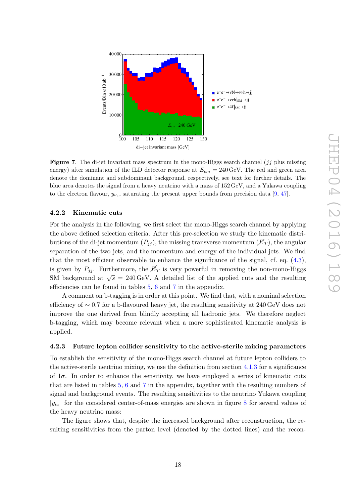

<span id="page-18-2"></span>**Figure 7.** The di-jet invariant mass spectrum in the mono-Higgs search channel  $(jj$  plus missing energy) after simulation of the ILD detector response at  $E_{cm} = 240 \,\text{GeV}$ . The red and green area denote the dominant and subdominant background, respectively, see text for further details. The blue area denotes the signal from a heavy neutrino with a mass of 152 GeV, and a Yukawa coupling to the electron flavour,  $y_{\nu_e}$ , saturating the present upper bounds from precision data [\[9,](#page-25-1) [47\]](#page-27-2).

## <span id="page-18-0"></span>4.2.2 Kinematic cuts

For the analysis in the following, we first select the mono-Higgs search channel by applying the above defined selection criteria. After this pre-selection we study the kinematic distributions of the di-jet momentum  $(P_{ij})$ , the missing transverse momentum  $(\mathcal{E}_T)$ , the angular separation of the two jets, and the momentum and energy of the individual jets. We find that the most efficient observable to enhance the significance of the signal, cf. eq.  $(4.3)$ , is given by  $P_{ij}$ . Furthermore, the  $\not{E}_T$  is very powerful in removing the non-mono-Higgs SM background at  $\sqrt{s} = 240 \,\text{GeV}$ . A detailed list of the applied cuts and the resulting efficiencies can be found in tables [5,](#page-23-0) [6](#page-23-1) and [7](#page-24-5) in the appendix.

A comment on b-tagging is in order at this point. We find that, with a nominal selection efficiency of  $\sim 0.7$  for a b-flavoured heavy jet, the resulting sensitivity at 240 GeV does not improve the one derived from blindly accepting all hadronic jets. We therefore neglect b-tagging, which may become relevant when a more sophisticated kinematic analysis is applied.

#### <span id="page-18-1"></span>4.2.3 Future lepton collider sensitivity to the active-sterile mixing parameters

To establish the sensitivity of the mono-Higgs search channel at future lepton colliders to the active-sterile neutrino mixing, we use the definition from section  $4.1.3$  for a significance of  $1\sigma$ . In order to enhance the sensitivity, we have employed a series of kinematic cuts that are listed in tables [5,](#page-23-0) [6](#page-23-1) and [7](#page-24-5) in the appendix, together with the resulting numbers of signal and background events. The resulting sensitivities to the neutrino Yukawa coupling  $|y_{\nu_e}|$  for the considered center-of-mass energies are shown in figure [8](#page-19-1) for several values of the heavy neutrino mass:

The figure shows that, despite the increased background after reconstruction, the resulting sensitivities from the parton level (denoted by the dotted lines) and the recon-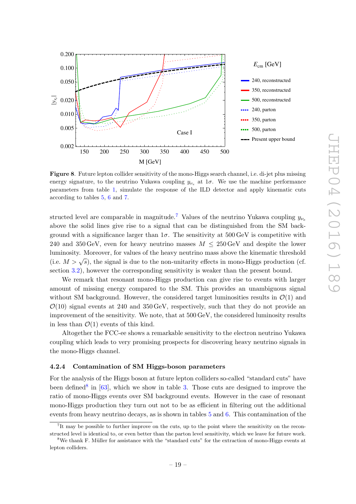

<span id="page-19-1"></span>Figure 8. Future lepton collider sensitivity of the mono-Higgs search channel, i.e. di-jet plus missing energy signature, to the neutrino Yukawa coupling  $y_{\nu_e}$  at 1 $\sigma$ . We use the machine performance parameters from table [1,](#page-8-1) simulate the response of the ILD detector and apply kinematic cuts according to tables [5,](#page-23-0) [6](#page-23-1) and [7.](#page-24-5)

structed level are comparable in magnitude.<sup>[7](#page-19-2)</sup> Values of the neutrino Yukawa coupling  $y_{\nu_e}$ above the solid lines give rise to a signal that can be distinguished from the SM background with a significance larger than  $1\sigma$ . The sensitivity at 500 GeV is competitive with 240 and 350 GeV, even for heavy neutrino masses  $M \leq 250$  GeV and despite the lower luminosity. Moreover, for values of the heavy neutrino mass above the kinematic threshold (i.e.  $M > \sqrt{s}$ ), the signal is due to the non-unitarity effects in mono-Higgs production (cf. section [3.2\)](#page-9-0), however the corresponding sensitivity is weaker than the present bound.

We remark that resonant mono-Higgs production can give rise to events with larger amount of missing energy compared to the SM. This provides an unambiguous signal without SM background. However, the considered target luminosities results in  $\mathcal{O}(1)$  and  $\mathcal{O}(10)$  signal events at 240 and 350 GeV, respectively, such that they do not provide an improvement of the sensitivity. We note, that at 500 GeV, the considered luminosity results in less than  $\mathcal{O}(1)$  events of this kind.

Altogether the FCC-ee shows a remarkable sensitivity to the electron neutrino Yukawa coupling which leads to very promising prospects for discovering heavy neutrino signals in the mono-Higgs channel.

#### <span id="page-19-0"></span>4.2.4 Contamination of SM Higgs-boson parameters

For the analysis of the Higgs boson at future lepton colliders so-called "standard cuts" have been defined<sup>[8](#page-19-3)</sup> in  $[63]$ , which we show in table [3.](#page-20-1) Those cuts are designed to improve the ratio of mono-Higgs events over SM background events. However in the case of resonant mono-Higgs production they turn out not to be as efficient in filtering out the additional events from heavy neutrino decays, as is shown in tables [5](#page-23-0) and [6.](#page-23-1) This contamination of the

<span id="page-19-2"></span><sup>7</sup> It may be possible to further improve on the cuts, up to the point where the sensitivity on the reconstructed level is identical to, or even better than the parton level sensitivity, which we leave for future work.

<span id="page-19-3"></span><sup>8</sup>We thank F. M¨uller for assistance with the "standard cuts" for the extraction of mono-Higgs events at lepton colliders.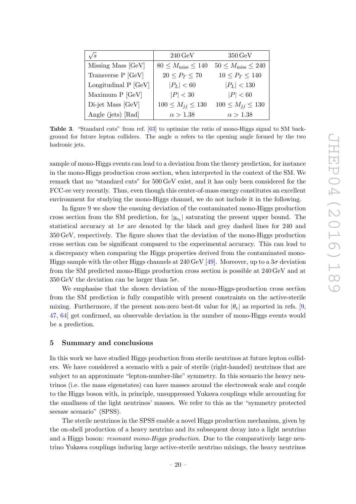| $\sqrt{s}$             | $240\,\mathrm{GeV}$             | $350\,\mathrm{GeV}$             |
|------------------------|---------------------------------|---------------------------------|
| Missing Mass [GeV]     | $80 \leq M_{\rm miss} \leq 140$ | $50 \leq M_{\rm miss} \leq 240$ |
| Transverse P [GeV]     | $20 < P_T < 70$                 | $10 < P_T < 140$                |
| Longitudinal $P$ [GeV] | $ P_L  < 60$                    | $ P_L  < 130$                   |
| Maximum $P$ [GeV]      | P  < 30                         | P  < 60                         |
| Di-jet Mass [GeV]      | $100 \le M_{jj} \le 130$        | $100 \le M_{jj} \le 130$        |
| Angle (jets) [Rad]     | $\alpha > 1.38$                 | $\alpha > 1.38$                 |

<span id="page-20-1"></span>Table 3. "Standard cuts" from ref. [\[63\]](#page-27-18) to optimize the ratio of mono-Higgs signal to SM background for future lepton colliders. The angle  $\alpha$  refers to the opening angle formed by the two hadronic jets.

sample of mono-Higgs events can lead to a deviation from the theory prediction, for instance in the mono-Higgs production cross section, when interpreted in the context of the SM. We remark that no "standard cuts" for 500 GeV exist, and it has only been considered for the FCC-ee very recently. Thus, even though this center-of-mass energy constitutes an excellent environment for studying the mono-Higgs channel, we do not include it in the following.

In figure [9](#page-21-0) we show the ensuing deviation of the contaminated mono-Higgs production cross section from the SM prediction, for  $|y_{\nu_e}|$  saturating the present upper bound. The statistical accuracy at  $1\sigma$  are denoted by the black and grey dashed lines for 240 and 350 GeV, respectively. The figure shows that the deviation of the mono-Higgs production cross section can be significant compared to the experimental accuracy. This can lead to a discrepancy when comparing the Higgs properties derived from the contaminated mono-Higgs sample with the other Higgs channels at 240 GeV [\[49\]](#page-27-5). Moreover, up to a  $3\sigma$  deviation from the SM predicted mono-Higgs production cross section is possible at 240 GeV and at  $350 \,\text{GeV}$  the deviation can be larger than  $5\sigma$ .

We emphasise that the shown deviation of the mono-Higgs-production cross section from the SM prediction is fully compatible with present constraints on the active-sterile mixing. Furthermore, if the present non-zero best-fit value for  $|\theta_e|$  as reported in refs. [\[9,](#page-25-1) [47,](#page-27-2) [64\]](#page-27-19) get confirmed, an observable deviation in the number of mono-Higgs events would be a prediction.

## <span id="page-20-0"></span>5 Summary and conclusions

In this work we have studied Higgs production from sterile neutrinos at future lepton colliders. We have considered a scenario with a pair of sterile (right-handed) neutrinos that are subject to an approximate "lepton-number-like" symmetry. In this scenario the heavy neutrinos (i.e. the mass eigenstates) can have masses around the electroweak scale and couple to the Higgs boson with, in principle, unsuppressed Yukawa couplings while accounting for the smallness of the light neutrinos' masses. We refer to this as the "symmetry protected seesaw scenario" (SPSS).

The sterile neutrinos in the SPSS enable a novel Higgs production mechanism, given by the on-shell production of a heavy neutrino and its subsequent decay into a light neutrino and a Higgs boson: resonant mono-Higgs production. Due to the comparatively large neutrino Yukawa couplings inducing large active-sterile neutrino mixings, the heavy neutrinos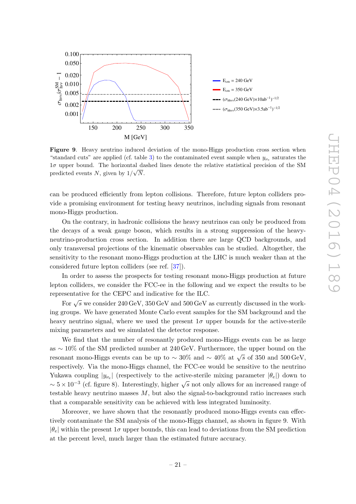

<span id="page-21-0"></span>Figure 9. Heavy neutrino induced deviation of the mono-Higgs production cross section when "standard cuts" are applied (cf. table [3\)](#page-20-1) to the contaminated event sample when  $y_{\nu_e}$  saturates the 1σ upper bound. The horizontal dashed lines denote the relative statistical precision of the SM predicted events N, given by  $1/\sqrt{N}$ .

can be produced efficiently from lepton collisions. Therefore, future lepton colliders provide a promising environment for testing heavy neutrinos, including signals from resonant mono-Higgs production.

On the contrary, in hadronic collisions the heavy neutrinos can only be produced from the decays of a weak gauge boson, which results in a strong suppression of the heavyneutrino-production cross section. In addition there are large QCD backgrounds, and only transversal projections of the kinematic observables can be studied. Altogether, the sensitivity to the resonant mono-Higgs production at the LHC is much weaker than at the considered future lepton colliders (see ref. [\[37\]](#page-26-1)).

In order to assess the prospects for testing resonant mono-Higgs production at future lepton colliders, we consider the FCC-ee in the following and we expect the results to be representative for the CEPC and indicative for the ILC.

For  $\sqrt{s}$  we consider 240 GeV, 350 GeV and 500 GeV as currently discussed in the working groups. We have generated Monte Carlo event samples for the SM background and the heavy neutrino signal, where we used the present  $1\sigma$  upper bounds for the active-sterile mixing parameters and we simulated the detector response.

We find that the number of resonantly produced mono-Higgs events can be as large as ∼ 10% of the SM predicted number at 240 GeV. Furthermore, the upper bound on the resonant mono-Higgs events can be up to  $\sim 30\%$  and  $\sim 40\%$  at  $\sqrt{s}$  of 350 and 500 GeV, respectively. Via the mono-Higgs channel, the FCC-ee would be sensitive to the neutrino Yukawa coupling  $|y_{\nu_e}|$  (respectively to the active-sterile mixing parameter  $|\theta_e|$ ) down to  $\sim 5 \times 10^{-3}$  (cf. figure 8). Interestingly, higher  $\sqrt{s}$  not only allows for an increased range of testable heavy neutrino masses  $M$ , but also the signal-to-background ratio increases such that a comparable sensitivity can be achieved with less integrated luminosity.

Moreover, we have shown that the resonantly produced mono-Higgs events can effectively contaminate the SM analysis of the mono-Higgs channel, as shown in figure 9. With  $|\theta_e|$  within the present 1 $\sigma$  upper bounds, this can lead to deviations from the SM prediction at the percent level, much larger than the estimated future accuracy.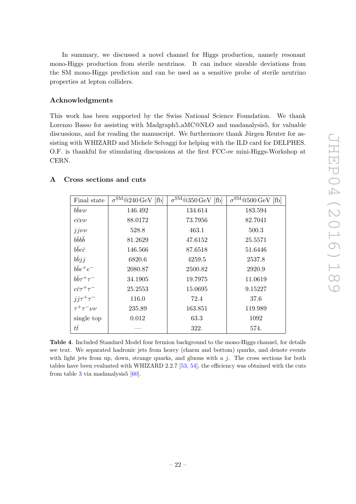In summary, we discussed a novel channel for Higgs production, namely resonant mono-Higgs production from sterile neutrinos. It can induce sizeable deviations from the SM mono-Higgs prediction and can be used as a sensitive probe of sterile neutrino properties at lepton colliders.

## Acknowledgments

This work has been supported by the Swiss National Science Foundation. We thank Lorenzo Basso for assisting with Madgraph5 aMC@NLO and madanalysis5, for valuable discussions, and for reading the manuscript. We furthermore thank Jürgen Reuter for assisting with WHIZARD and Michele Selvaggi for helping with the ILD card for DELPHES. O.F. is thankful for stimulating discussions at the first FCC-ee mini-Higgs-Workshop at CERN.

| Final state            | $\sigma^{\text{SM}}$ @240 GeV [fb] | $\sigma^{\text{SM}}$ @350 GeV [fb] | $\sigma^{\text{SM}}@500\ensuremath{\,\text{GeV}}$ [fb] |
|------------------------|------------------------------------|------------------------------------|--------------------------------------------------------|
| $bb\nu\nu$             | 146.492                            | 134.614                            | 183.594                                                |
| $c\bar{c}\nu\nu$       | 88.0172                            | 73.7956                            | 82.7041                                                |
| $jj\nu\nu$             | 528.8                              | 463.1                              | 500.3                                                  |
| $b\bar{b}b\bar{b}$     | 81.2629                            | 47.6152                            | 25.5571                                                |
| $b\bar{b}c\bar{c}$     | 146.566                            | 87.6518                            | 51.6446                                                |
| bbjj                   | 6820.6                             | 4259.5                             | 2537.8                                                 |
| $b\bar{b}e^+e^-$       | 2080.87                            | 2500.82                            | 2920.9                                                 |
| $b\bar{b}\tau^+\tau^-$ | 34.1905                            | 19.7975                            | 11.0619                                                |
| $c\bar{c}\tau^+\tau^-$ | 25.2553                            | 15.0695                            | 9.15227                                                |
| $jj\tau^+\tau^-$       | 116.0                              | 72.4                               | 37.6                                                   |
| $\tau^+\tau^-\nu\nu$   | 235.89                             | 163.851                            | 119.989                                                |
| single top             | 0.012                              | 63.3                               | 1092                                                   |
| $t\bar{t}$             |                                    | 322.                               | 574.                                                   |

## <span id="page-22-0"></span>A Cross sections and cuts

<span id="page-22-1"></span>Table 4. Included Standard Model four fermion background to the mono-Higgs channel, for details see text. We separated hadronic jets from heavy (charm and bottom) quarks, and denote events with light jets from up, down, strange quarks, and gluons with a  $j$ . The cross sections for both tables have been evaluated with WHIZARD 2.2.7 [\[53,](#page-27-8) [54\]](#page-27-9), the efficiency was obtained with the cuts from table [3](#page-20-1) via madanalysis  $[60]$ .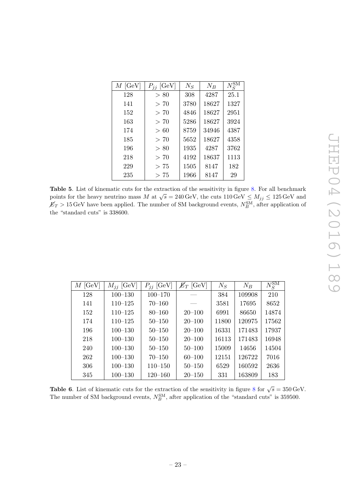| $M$ [GeV] | $P_{ij}$ [GeV] | $N_S$ | $N_B$ | $N_{\mathrm{c}}^{\mathrm{SM}}$ |
|-----------|----------------|-------|-------|--------------------------------|
| 128       | > 80           | 308   | 4287  | 25.1                           |
| 141       | >70            | 3780  | 18627 | 1327                           |
| 152       | >70            | 4846  | 18627 | 2951                           |
| 163       | > 70           | 5286  | 18627 | 3924                           |
| 174       | >60            | 8759  | 34946 | 4387                           |
| 185       | > 70           | 5652  | 18627 | 4358                           |
| 196       | > 80           | 1935  | 4287  | 3762                           |
| 218       | >70            | 4192  | 18637 | 1113                           |
| 229       | > 75           | 1505  | 8147  | 182                            |
| 235       | > 75           | 1966  | 8147  | 29                             |

<span id="page-23-0"></span>Table 5. List of kinematic cuts for the extraction of the sensitivity in figure [8.](#page-19-1) For all benchmark points for the heavy neutrino mass M at  $\sqrt{s} = 240 \,\text{GeV}$ , the cuts  $110 \,\text{GeV} \leq M_{jj} \leq 125 \,\text{GeV}$  and  $E_T > 15 \,\text{GeV}$  have been applied. The number of SM background events,  $N_B^{\text{SM}}$ , after application of the "standard cuts" is 338600.

| $M$ [GeV] | $M_{ij}$ [GeV] | $P_{ij}$ [GeV] | $\n  ET$ [GeV] | $N_S$ | $N_B$  | $N_S^{\rm SM}$ |
|-----------|----------------|----------------|----------------|-------|--------|----------------|
| 128       | $100 - 130$    | $100 - 170$    |                | 384   | 109908 | 210            |
| 141       | $110 - 125$    | $70 - 160$     |                | 3581  | 17695  | 8652           |
| 152       | $110 - 125$    | $80 - 160$     | $20 - 100$     | 6991  | 86650  | 14874          |
| 174       | $110 - 125$    | $50 - 150$     | $20 - 100$     | 11800 | 120975 | 17562          |
| 196       | $100 - 130$    | $50 - 150$     | $20 - 100$     | 16331 | 171483 | 17937          |
| 218       | $100 - 130$    | $50 - 150$     | $20 - 100$     | 16113 | 171483 | 16948          |
| 240       | $100 - 130$    | $50 - 150$     | $50 - 100$     | 15009 | 14656  | 14504          |
| 262       | $100 - 130$    | $70 - 150$     | $60 - 100$     | 12151 | 126722 | 7016           |
| 306       | $100 - 130$    | $110 - 150$    | $50 - 150$     | 6529  | 160592 | 2636           |
| 345       | $100 - 130$    | $120 - 160$    | $20 - 150$     | 331   | 163809 | 183            |

<span id="page-23-1"></span>**Table 6.** List of kinematic cuts for the extraction of the sensitivity in figure [8](#page-19-1) for  $\sqrt{s} = 350 \,\text{GeV}$ . The number of SM background events,  $N_B^{\text{SM}}$ , after application of the "standard cuts" is 359500.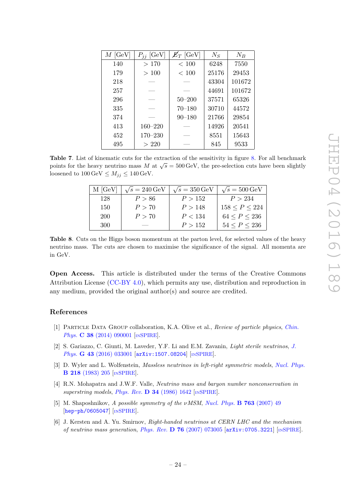| $M$ [GeV] | $P_{ij}$ [GeV] | $\not\hspace{-1.2mm}E_{T}$ [GeV] | $N_S$ | $N_B$  |
|-----------|----------------|----------------------------------|-------|--------|
| 140       | >170           | < 100                            | 6248  | 7550   |
| 179       | >100           | < 100                            | 25176 | 29453  |
| 218       |                |                                  | 43304 | 101672 |
| 257       |                |                                  | 44691 | 101672 |
| 296       |                | $50 - 200$                       | 37571 | 65326  |
| 335       |                | $70 - 180$                       | 30710 | 44572  |
| 374       |                | $90 - 180$                       | 21766 | 29854  |
| 413       | $160 - 220$    |                                  | 14926 | 20541  |
| 452       | $170 - 230$    |                                  | 8551  | 15643  |
| 495       | > 220          |                                  | 845   | 9533   |

<span id="page-24-5"></span>Table 7. List of kinematic cuts for the extraction of the sensitivity in figure [8.](#page-19-1) For all benchmark points for the heavy neutrino mass M at  $\sqrt{s} = 500 \,\text{GeV}$ , the pre-selection cuts have been slightly loosened to  $100 \,\text{GeV} \leq M_{jj} \leq 140 \,\text{GeV}.$ 

| M [GeV] | $\sqrt{s} = 240 \,\text{GeV}$ | $\sqrt{s} = 350 \,\text{GeV}$ | $\sqrt{s} = 500 \,\text{GeV}$ |
|---------|-------------------------------|-------------------------------|-------------------------------|
| 128     | P > 86                        | P > 152                       | P > 234                       |
| 150     | P > 70                        | P > 148                       | 158 < P < 224                 |
| 200     | P > 70                        | P < 134                       | 64 < P < 236                  |
| 300     |                               | P > 152                       | 54 < P < 236                  |

<span id="page-24-4"></span>Table 8. Cuts on the Higgs boson momentum at the parton level, for selected values of the heavy neutrino mass. The cuts are chosen to maximise the significance of the signal. All momenta are in GeV.

Open Access. This article is distributed under the terms of the Creative Commons Attribution License [\(CC-BY 4.0\)](http://creativecommons.org/licenses/by/4.0/), which permits any use, distribution and reproduction in any medium, provided the original author(s) and source are credited.

# References

- <span id="page-24-0"></span>[1] Particle Data Group collaboration, K.A. Olive et al., Review of particle physics, [Chin.](http://dx.doi.org/10.1088/1674-1137/38/9/090001) Phys. **C 38** [\(2014\) 090001](http://dx.doi.org/10.1088/1674-1137/38/9/090001) [IN[SPIRE](http://inspirehep.net/search?p=find+J+"Chin.Phys.,C38,090001")].
- <span id="page-24-1"></span>[2] S. Gariazzo, C. Giunti, M. Laveder, Y.F. Li and E.M. Zavanin, Light sterile neutrinos, [J.](http://dx.doi.org/10.1088/0954-3899/43/3/033001) Phys. **G 43** [\(2016\) 033001](http://dx.doi.org/10.1088/0954-3899/43/3/033001) [[arXiv:1507.08204](http://arxiv.org/abs/1507.08204)] [IN[SPIRE](http://inspirehep.net/search?p=find+EPRINT+arXiv:1507.08204)].
- <span id="page-24-2"></span>[3] D. Wyler and L. Wolfenstein, *Massless neutrinos in left-right symmetric models*, *[Nucl. Phys.](http://dx.doi.org/10.1016/0550-3213(83)90482-0)* B 218 [\(1983\) 205](http://dx.doi.org/10.1016/0550-3213(83)90482-0) [IN[SPIRE](http://inspirehep.net/search?p=find+J+"Nucl.Phys.,B218,205")].
- <span id="page-24-3"></span>[4] R.N. Mohapatra and J.W.F. Valle, Neutrino mass and baryon number nonconservation in superstring models, Phys. Rev. D 34 [\(1986\) 1642](http://dx.doi.org/10.1103/PhysRevD.34.1642) [IN[SPIRE](http://inspirehep.net/search?p=find+J+"Phys.Rev.,D34,1642")].
- [5] M. Shaposhnikov, A possible symmetry of the vMSM, [Nucl. Phys.](http://dx.doi.org/10.1016/j.nuclphysb.2006.11.003) **B** 763 (2007) 49 [[hep-ph/0605047](http://arxiv.org/abs/hep-ph/0605047)] [IN[SPIRE](http://inspirehep.net/search?p=find+EPRINT+hep-ph/0605047)].
- [6] J. Kersten and A. Yu. Smirnov, Right-handed neutrinos at CERN LHC and the mechanism of neutrino mass generation, Phys. Rev.  $\bf{D}$  76 [\(2007\) 073005](http://dx.doi.org/10.1103/PhysRevD.76.073005) [[arXiv:0705.3221](http://arxiv.org/abs/0705.3221)] [IN[SPIRE](http://inspirehep.net/search?p=find+EPRINT+arXiv:0705.3221)].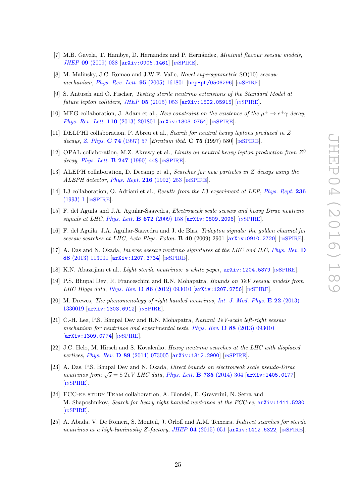- [7] M.B. Gavela, T. Hambye, D. Hernandez and P. Hernández, Minimal flavour seesaw models, JHEP 09 [\(2009\) 038](http://dx.doi.org/10.1088/1126-6708/2009/09/038) [[arXiv:0906.1461](http://arxiv.org/abs/0906.1461)] [IN[SPIRE](http://inspirehep.net/search?p=find+EPRINT+arXiv:0906.1461)].
- <span id="page-25-0"></span>[8] M. Malinsky, J.C. Romao and J.W.F. Valle, Novel supersymmetric SO(10) seesaw mechanism, *[Phys. Rev. Lett.](http://dx.doi.org/10.1103/PhysRevLett.95.161801)* **95** (2005) 161801 [[hep-ph/0506296](http://arxiv.org/abs/hep-ph/0506296)] [IN[SPIRE](http://inspirehep.net/search?p=find+EPRINT+hep-ph/0506296)].
- <span id="page-25-1"></span>[9] S. Antusch and O. Fischer, Testing sterile neutrino extensions of the Standard Model at future lepton colliders, JHEP  $05$  [\(2015\) 053](http://dx.doi.org/10.1007/JHEP05(2015)053) [[arXiv:1502.05915](http://arxiv.org/abs/1502.05915)] [IN[SPIRE](http://inspirehep.net/search?p=find+EPRINT+arXiv:1502.05915)].
- <span id="page-25-2"></span>[10] MEG collaboration, J. Adam et al., New constraint on the existence of the  $\mu^+ \to e^+ \gamma$  decay, [Phys. Rev. Lett.](http://dx.doi.org/10.1103/PhysRevLett.110.201801) 110 (2013) 201801 [[arXiv:1303.0754](http://arxiv.org/abs/1303.0754)] [IN[SPIRE](http://inspirehep.net/search?p=find+EPRINT+arXiv:1303.0754)].
- <span id="page-25-3"></span>[11] DELPHI collaboration, P. Abreu et al., Search for neutral heavy leptons produced in Z decays, Z. Phys. **C 74** [\(1997\) 57](http://dx.doi.org/10.1007/s002880050370) [*Erratum ibid.* **C 75** (1997) 580] [IN[SPIRE](http://inspirehep.net/search?p=find+J+"Z.Physik,C74,57")].
- <span id="page-25-4"></span>[12] OPAL collaboration, M.Z. Akrawy et al., *Limits on neutral heavy lepton production from*  $Z^0$ decay, *[Phys. Lett.](http://dx.doi.org/10.1016/0370-2693(90)90924-U)* **B 247** (1990) 448 [IN[SPIRE](http://inspirehep.net/search?p=find+J+"Phys.Lett.,B247,448")].
- <span id="page-25-5"></span>[13] ALEPH collaboration, D. Decamp et al., Searches for new particles in Z decays using the ALEPH detector, [Phys. Rept.](http://dx.doi.org/10.1016/0370-1573(92)90177-2) 216 (1992) 253 [IN[SPIRE](http://inspirehep.net/search?p=find+J+"Phys.Rept.,216,253")].
- <span id="page-25-6"></span>[14] L3 collaboration, O. Adriani et al., Results from the L3 experiment at LEP, [Phys. Rept.](http://dx.doi.org/10.1016/0370-1573(93)90027-B) 236 [\(1993\) 1](http://dx.doi.org/10.1016/0370-1573(93)90027-B) [IN[SPIRE](http://inspirehep.net/search?p=find+J+"Phys.Rept.,236,1")].
- <span id="page-25-7"></span>[15] F. del Aguila and J.A. Aguilar-Saavedra, Electroweak scale seesaw and heavy Dirac neutrino signals at LHC, [Phys. Lett.](http://dx.doi.org/10.1016/j.physletb.2009.01.010) **B 672** (2009) 158 [[arXiv:0809.2096](http://arxiv.org/abs/0809.2096)] [IN[SPIRE](http://inspirehep.net/search?p=find+EPRINT+arXiv:0809.2096)].
- [16] F. del Aguila, J.A. Aguilar-Saavedra and J. de Blas, Trilepton signals: the golden channel for seesaw searches at LHC, Acta Phys. Polon. **B 40** (2009) 2901  $\left[$ [arXiv:0910.2720](http://arxiv.org/abs/0910.2720) $\right]$  [IN[SPIRE](http://inspirehep.net/search?p=find+EPRINT+arXiv:0910.2720)].
- [17] A. Das and N. Okada, *Inverse seesaw neutrino signatures at the LHC and ILC*, *[Phys. Rev.](http://dx.doi.org/10.1103/PhysRevD.88.113001)* **D** 88 [\(2013\) 113001](http://dx.doi.org/10.1103/PhysRevD.88.113001) [[arXiv:1207.3734](http://arxiv.org/abs/1207.3734)] [IN[SPIRE](http://inspirehep.net/search?p=find+EPRINT+arXiv:1207.3734)].
- [18] K.N. Abazajian et al., Light sterile neutrinos: a white paper, [arXiv:1204.5379](http://arxiv.org/abs/1204.5379) [IN[SPIRE](http://inspirehep.net/search?p=find+EPRINT+arXiv:1204.5379)].
- [19] P.S. Bhupal Dev, R. Franceschini and R.N. Mohapatra, Bounds on TeV seesaw models from LHC Higgs data, Phys. Rev. D 86 [\(2012\) 093010](http://dx.doi.org/10.1103/PhysRevD.86.093010) [[arXiv:1207.2756](http://arxiv.org/abs/1207.2756)] [IN[SPIRE](http://inspirehep.net/search?p=find+EPRINT+arXiv:1207.2756)].
- [20] M. Drewes, The phenomenology of right handed neutrinos, [Int. J. Mod. Phys.](http://dx.doi.org/10.1142/S0218301313300191) **E 22** (2013) [1330019](http://dx.doi.org/10.1142/S0218301313300191) [[arXiv:1303.6912](http://arxiv.org/abs/1303.6912)] [IN[SPIRE](http://inspirehep.net/search?p=find+EPRINT+arXiv:1303.6912)].
- [21] C.-H. Lee, P.S. Bhupal Dev and R.N. Mohapatra, Natural TeV-scale left-right seesaw mechanism for neutrinos and experimental tests,  $Phys. Rev. D 88 (2013) 093010$  $Phys. Rev. D 88 (2013) 093010$ [[arXiv:1309.0774](http://arxiv.org/abs/1309.0774)] [IN[SPIRE](http://inspirehep.net/search?p=find+EPRINT+arXiv:1309.0774)].
- [22] J.C. Helo, M. Hirsch and S. Kovalenko, Heavy neutrino searches at the LHC with displaced vertices, Phys. Rev. D 89 [\(2014\) 073005](http://dx.doi.org/10.1103/PhysRevD.89.073005) [[arXiv:1312.2900](http://arxiv.org/abs/1312.2900)] [IN[SPIRE](http://inspirehep.net/search?p=find+EPRINT+arXiv:1312.2900)].
- [23] A. Das, P.S. Bhupal Dev and N. Okada, Direct bounds on electroweak scale pseudo-Dirac neutrinos from  $\sqrt{s} = 8 \; TeV$  LHC data, [Phys. Lett.](http://dx.doi.org/10.1016/j.physletb.2014.06.058) **B** 735 (2014) 364 [[arXiv:1405.0177](http://arxiv.org/abs/1405.0177)] [IN[SPIRE](http://inspirehep.net/search?p=find+EPRINT+arXiv:1405.0177)].
- [24] FCC-ee study Team collaboration, A. Blondel, E. Graverini, N. Serra and M. Shaposhnikov, Search for heavy right handed neutrinos at the FCC-ee, [arXiv:1411.5230](http://arxiv.org/abs/1411.5230) [IN[SPIRE](http://inspirehep.net/search?p=find+EPRINT+arXiv:1411.5230)].
- [25] A. Abada, V. De Romeri, S. Monteil, J. Orloff and A.M. Teixeira, Indirect searches for sterile neutrinos at a high-luminosity Z-factory, JHEP  $04$  [\(2015\) 051](http://dx.doi.org/10.1007/JHEP04(2015)051) [[arXiv:1412.6322](http://arxiv.org/abs/1412.6322)] [IN[SPIRE](http://inspirehep.net/search?p=find+EPRINT+arXiv:1412.6322)].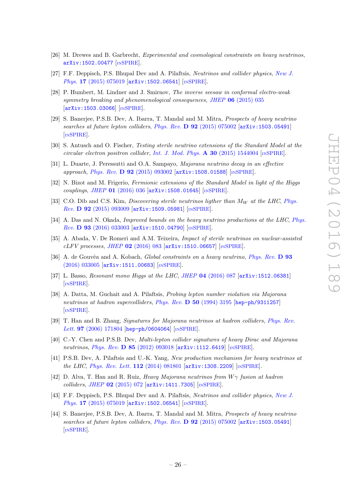- [26] M. Drewes and B. Garbrecht, Experimental and cosmological constraints on heavy neutrinos, [arXiv:1502.00477](http://arxiv.org/abs/1502.00477) [IN[SPIRE](http://inspirehep.net/search?p=find+EPRINT+arXiv:1502.00477)].
- [27] F.F. Deppisch, P.S. Bhupal Dev and A. Pilaftsis, Neutrinos and collider physics, [New J.](http://dx.doi.org/10.1088/1367-2630/17/7/075019) Phys. 17 [\(2015\) 075019](http://dx.doi.org/10.1088/1367-2630/17/7/075019) [[arXiv:1502.06541](http://arxiv.org/abs/1502.06541)] [IN[SPIRE](http://inspirehep.net/search?p=find+EPRINT+arXiv:1502.06541)].
- [28] P. Humbert, M. Lindner and J. Smirnov, The inverse seesaw in conformal electro-weak symmetry breaking and phenomenological consequences, JHEP 06 [\(2015\) 035](http://dx.doi.org/10.1007/JHEP06(2015)035) [[arXiv:1503.03066](http://arxiv.org/abs/1503.03066)] [IN[SPIRE](http://inspirehep.net/search?p=find+EPRINT+arXiv:1503.03066)].
- [29] S. Banerjee, P.S.B. Dev, A. Ibarra, T. Mandal and M. Mitra, Prospects of heavy neutrino searches at future lepton colliders, Phys. Rev. D 92 [\(2015\) 075002](http://dx.doi.org/10.1103/PhysRevD.92.075002) [[arXiv:1503.05491](http://arxiv.org/abs/1503.05491)] [IN[SPIRE](http://inspirehep.net/search?p=find+EPRINT+arXiv:1503.05491)].
- [30] S. Antusch and O. Fischer, Testing sterile neutrino extensions of the Standard Model at the circular electron positron collider, [Int. J. Mod. Phys.](http://dx.doi.org/10.1142/S0217751X15440042)  $\bf{A}$  30 (2015) 1544004 [IN[SPIRE](http://inspirehep.net/search?p=find+J+"Int.J.Mod.Phys.,A30,1544004")].
- [31] L. Duarte, J. Peressutti and O.A. Sampayo, Majorana neutrino decay in an effective approach, Phys. Rev. D 92 [\(2015\) 093002](http://dx.doi.org/10.1103/PhysRevD.92.093002) [[arXiv:1508.01588](http://arxiv.org/abs/1508.01588)] [IN[SPIRE](http://inspirehep.net/search?p=find+EPRINT+arXiv:1508.01588)].
- [32] N. Bizot and M. Frigerio, Fermionic extensions of the Standard Model in light of the Higgs couplings, JHEP 01 [\(2016\) 036](http://dx.doi.org/10.1007/JHEP01(2016)036) [[arXiv:1508.01645](http://arxiv.org/abs/1508.01645)] [IN[SPIRE](http://inspirehep.net/search?p=find+EPRINT+arXiv:1508.01645)].
- [33] C.O. Dib and C.S. Kim, *Discovering sterile neutrinos ligther than*  $M_W$  *at the LHC, [Phys.](http://dx.doi.org/10.1103/PhysRevD.92.093009)* Rev. D 92 [\(2015\) 093009](http://dx.doi.org/10.1103/PhysRevD.92.093009) [[arXiv:1509.05981](http://arxiv.org/abs/1509.05981)] [IN[SPIRE](http://inspirehep.net/search?p=find+EPRINT+arXiv:1509.05981)].
- [34] A. Das and N. Okada, *Improved bounds on the heavy neutrino productions at the LHC, [Phys.](http://dx.doi.org/10.1103/PhysRevD.93.033003)* Rev. D 93 [\(2016\) 033003](http://dx.doi.org/10.1103/PhysRevD.93.033003) [[arXiv:1510.04790](http://arxiv.org/abs/1510.04790)] [IN[SPIRE](http://inspirehep.net/search?p=find+EPRINT+arXiv:1510.04790)].
- [35] A. Abada, V. De Romeri and A.M. Teixeira, Impact of sterile neutrinos on nuclear-assisted  $cLFV$  processes, JHEP 02 [\(2016\) 083](http://dx.doi.org/10.1007/JHEP02(2016)083) [[arXiv:1510.06657](http://arxiv.org/abs/1510.06657)] [IN[SPIRE](http://inspirehep.net/search?p=find+EPRINT+arXiv:1510.06657)].
- <span id="page-26-0"></span>[36] A. de Gouvêa and A. Kobach, *Global constraints on a heavy neutrino*, *[Phys. Rev.](http://dx.doi.org/10.1103/PhysRevD.93.033005)* **D** 93 [\(2016\) 033005](http://dx.doi.org/10.1103/PhysRevD.93.033005) [[arXiv:1511.00683](http://arxiv.org/abs/1511.00683)] [IN[SPIRE](http://inspirehep.net/search?p=find+EPRINT+arXiv:1511.00683)].
- <span id="page-26-1"></span>[37] L. Basso, Resonant mono Higgs at the LHC, JHEP 04 [\(2016\) 087](http://dx.doi.org/10.1007/JHEP04(2016)087) [[arXiv:1512.06381](http://arxiv.org/abs/1512.06381)] [IN[SPIRE](http://inspirehep.net/search?p=find+EPRINT+arXiv:1512.06381)].
- <span id="page-26-2"></span>[38] A. Datta, M. Guchait and A. Pilaftsis, Probing lepton number violation via Majorana neutrinos at hadron supercolliders, Phys. Rev. D 50 [\(1994\) 3195](http://dx.doi.org/10.1103/PhysRevD.50.3195) [[hep-ph/9311257](http://arxiv.org/abs/hep-ph/9311257)] [IN[SPIRE](http://inspirehep.net/search?p=find+EPRINT+hep-ph/9311257)].
- [39] T. Han and B. Zhang, Signatures for Majorana neutrinos at hadron colliders, [Phys. Rev.](http://dx.doi.org/10.1103/PhysRevLett.97.171804) Lett. 97 [\(2006\) 171804](http://dx.doi.org/10.1103/PhysRevLett.97.171804) [[hep-ph/0604064](http://arxiv.org/abs/hep-ph/0604064)] [IN[SPIRE](http://inspirehep.net/search?p=find+EPRINT+hep-ph/0604064)].
- [40] C.-Y. Chen and P.S.B. Dev, Multi-lepton collider signatures of heavy Dirac and Majorana neutrinos, Phys. Rev. **D 85** [\(2012\) 093018](http://dx.doi.org/10.1103/PhysRevD.85.093018) [[arXiv:1112.6419](http://arxiv.org/abs/1112.6419)] [IN[SPIRE](http://inspirehep.net/search?p=find+EPRINT+arXiv:1112.6419)].
- [41] P.S.B. Dev, A. Pilaftsis and U.-K. Yang, New production mechanism for heavy neutrinos at the LHC, [Phys. Rev. Lett.](http://dx.doi.org/10.1103/PhysRevLett.112.081801) 112 (2014) 081801 [[arXiv:1308.2209](http://arxiv.org/abs/1308.2209)] [IN[SPIRE](http://inspirehep.net/search?p=find+EPRINT+arXiv:1308.2209)].
- [42] D. Alva, T. Han and R. Ruiz, Heavy Majorana neutrinos from  $W\gamma$  fusion at hadron colliders, JHEP 02 [\(2015\) 072](http://dx.doi.org/10.1007/JHEP02(2015)072) [[arXiv:1411.7305](http://arxiv.org/abs/1411.7305)] [IN[SPIRE](http://inspirehep.net/search?p=find+EPRINT+arXiv:1411.7305)].
- [43] F.F. Deppisch, P.S. Bhupal Dev and A. Pilaftsis, Neutrinos and collider physics, [New J.](http://dx.doi.org/10.1088/1367-2630/17/7/075019) Phys. 17 [\(2015\) 075019](http://dx.doi.org/10.1088/1367-2630/17/7/075019) [[arXiv:1502.06541](http://arxiv.org/abs/1502.06541)] [IN[SPIRE](http://inspirehep.net/search?p=find+EPRINT+arXiv:1502.06541)].
- [44] S. Banerjee, P.S.B. Dev, A. Ibarra, T. Mandal and M. Mitra, Prospects of heavy neutrino searches at future lepton colliders, Phys. Rev. D 92 [\(2015\) 075002](http://dx.doi.org/10.1103/PhysRevD.92.075002) [[arXiv:1503.05491](http://arxiv.org/abs/1503.05491)] [IN[SPIRE](http://inspirehep.net/search?p=find+EPRINT+arXiv:1503.05491)].